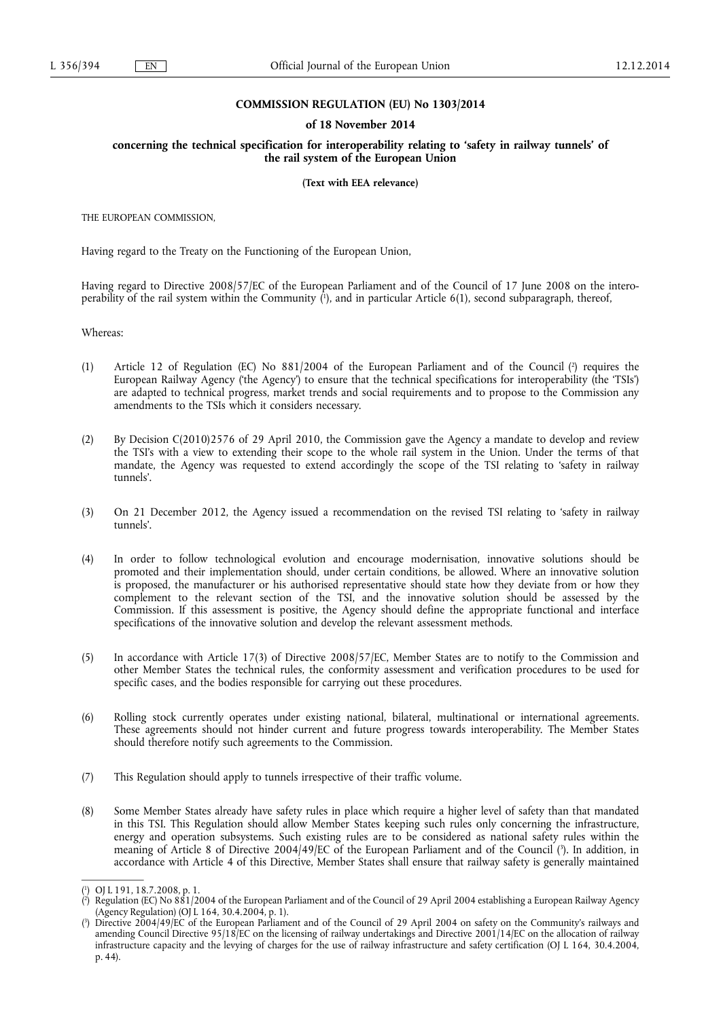### **COMMISSION REGULATION (EU) No 1303/2014**

#### **of 18 November 2014**

**concerning the technical specification for interoperability relating to 'safety in railway tunnels' of the rail system of the European Union** 

#### **(Text with EEA relevance)**

THE EUROPEAN COMMISSION,

Having regard to the Treaty on the Functioning of the European Union,

Having regard to Directive 2008/57/EC of the European Parliament and of the Council of 17 June 2008 on the interoperability of the rail system within the Community ( 1 ), and in particular Article 6(1), second subparagraph, thereof,

Whereas:

- (1) Article 12 of Regulation (EC) No 881/2004 of the European Parliament and of the Council (2) requires the European Railway Agency ('the Agency') to ensure that the technical specifications for interoperability (the 'TSIs') are adapted to technical progress, market trends and social requirements and to propose to the Commission any amendments to the TSIs which it considers necessary.
- (2) By Decision C(2010)2576 of 29 April 2010, the Commission gave the Agency a mandate to develop and review the TSI's with a view to extending their scope to the whole rail system in the Union. Under the terms of that mandate, the Agency was requested to extend accordingly the scope of the TSI relating to 'safety in railway tunnels'.
- (3) On 21 December 2012, the Agency issued a recommendation on the revised TSI relating to 'safety in railway tunnels'.
- (4) In order to follow technological evolution and encourage modernisation, innovative solutions should be promoted and their implementation should, under certain conditions, be allowed. Where an innovative solution is proposed, the manufacturer or his authorised representative should state how they deviate from or how they complement to the relevant section of the TSI, and the innovative solution should be assessed by the Commission. If this assessment is positive, the Agency should define the appropriate functional and interface specifications of the innovative solution and develop the relevant assessment methods.
- (5) In accordance with Article 17(3) of Directive 2008/57/EC, Member States are to notify to the Commission and other Member States the technical rules, the conformity assessment and verification procedures to be used for specific cases, and the bodies responsible for carrying out these procedures.
- (6) Rolling stock currently operates under existing national, bilateral, multinational or international agreements. These agreements should not hinder current and future progress towards interoperability. The Member States should therefore notify such agreements to the Commission.
- (7) This Regulation should apply to tunnels irrespective of their traffic volume.
- (8) Some Member States already have safety rules in place which require a higher level of safety than that mandated in this TSI. This Regulation should allow Member States keeping such rules only concerning the infrastructure, energy and operation subsystems. Such existing rules are to be considered as national safety rules within the meaning of Article 8 of Directive 2004/49/EC of the European Parliament and of the Council ( 3 ). In addition, in accordance with Article 4 of this Directive, Member States shall ensure that railway safety is generally maintained

<sup>(</sup> 1 ) OJ L 191, 18.7.2008, p. 1.

<sup>(</sup> 2 ) Regulation (EC) No 881/2004 of the European Parliament and of the Council of 29 April 2004 establishing a European Railway Agency (Agency Regulation) (OJ L 164, 30.4.2004, p. 1).

<sup>(</sup> 3 ) Directive 2004/49/EC of the European Parliament and of the Council of 29 April 2004 on safety on the Community's railways and amending Council Directive 95/18/EC on the licensing of railway undertakings and Directive 2001/14/EC on the allocation of railway infrastructure capacity and the levying of charges for the use of railway infrastructure and safety certification (OJ L 164, 30.4.2004, p. 44).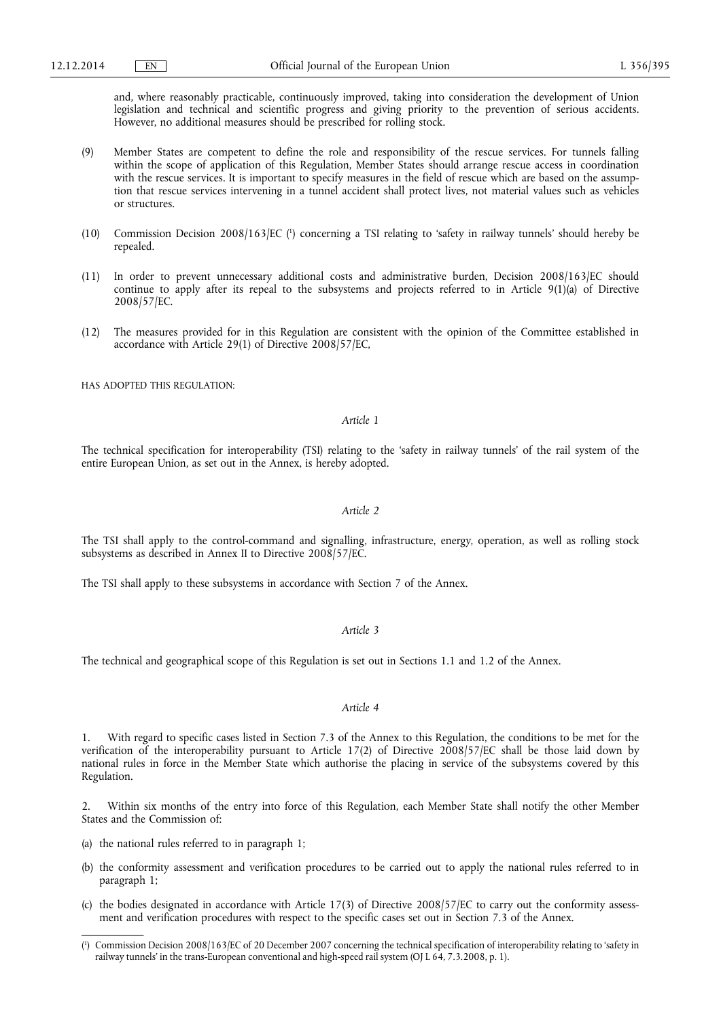and, where reasonably practicable, continuously improved, taking into consideration the development of Union legislation and technical and scientific progress and giving priority to the prevention of serious accidents. However, no additional measures should be prescribed for rolling stock.

- (9) Member States are competent to define the role and responsibility of the rescue services. For tunnels falling within the scope of application of this Regulation, Member States should arrange rescue access in coordination with the rescue services. It is important to specify measures in the field of rescue which are based on the assumption that rescue services intervening in a tunnel accident shall protect lives, not material values such as vehicles or structures.
- (10) Commission Decision 2008/163/EC ( 1 ) concerning a TSI relating to 'safety in railway tunnels' should hereby be repealed.
- (11) In order to prevent unnecessary additional costs and administrative burden, Decision 2008/163/EC should continue to apply after its repeal to the subsystems and projects referred to in Article 9(1)(a) of Directive 2008/57/EC.
- (12) The measures provided for in this Regulation are consistent with the opinion of the Committee established in accordance with Article 29(1) of Directive 2008/57/EC,

HAS ADOPTED THIS REGULATION:

### *Article 1*

The technical specification for interoperability (TSI) relating to the 'safety in railway tunnels' of the rail system of the entire European Union, as set out in the Annex, is hereby adopted.

### *Article 2*

The TSI shall apply to the control-command and signalling, infrastructure, energy, operation, as well as rolling stock subsystems as described in Annex II to Directive 2008/57/EC.

The TSI shall apply to these subsystems in accordance with Section 7 of the Annex.

### *Article 3*

The technical and geographical scope of this Regulation is set out in Sections 1.1 and 1.2 of the Annex.

### *Article 4*

With regard to specific cases listed in Section 7.3 of the Annex to this Regulation, the conditions to be met for the verification of the interoperability pursuant to Article 17(2) of Directive 2008/57/EC shall be those laid down by national rules in force in the Member State which authorise the placing in service of the subsystems covered by this Regulation.

2. Within six months of the entry into force of this Regulation, each Member State shall notify the other Member States and the Commission of:

- (a) the national rules referred to in paragraph 1;
- (b) the conformity assessment and verification procedures to be carried out to apply the national rules referred to in paragraph 1;
- (c) the bodies designated in accordance with Article 17(3) of Directive 2008/57/EC to carry out the conformity assessment and verification procedures with respect to the specific cases set out in Section 7.3 of the Annex.

<sup>(</sup> 1 ) Commission Decision 2008/163/EC of 20 December 2007 concerning the technical specification of interoperability relating to 'safety in railway tunnels' in the trans-European conventional and high-speed rail system (OJ L 64, 7.3.2008, p. 1).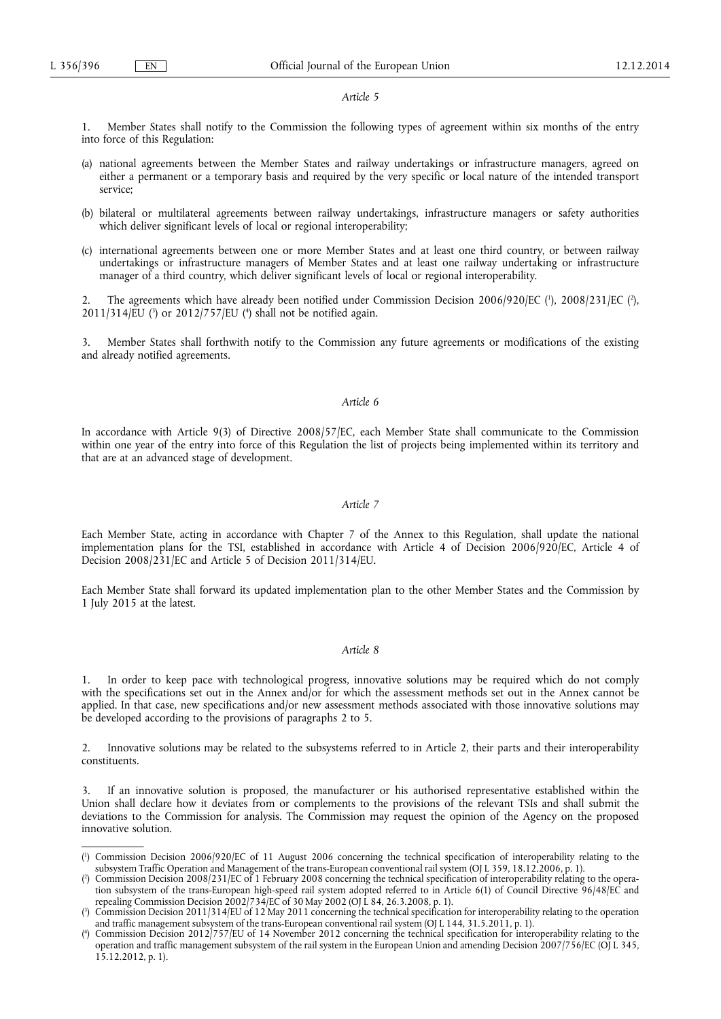#### *Article 5*

1. Member States shall notify to the Commission the following types of agreement within six months of the entry into force of this Regulation:

- (a) national agreements between the Member States and railway undertakings or infrastructure managers, agreed on either a permanent or a temporary basis and required by the very specific or local nature of the intended transport service;
- (b) bilateral or multilateral agreements between railway undertakings, infrastructure managers or safety authorities which deliver significant levels of local or regional interoperability;
- (c) international agreements between one or more Member States and at least one third country, or between railway undertakings or infrastructure managers of Member States and at least one railway undertaking or infrastructure manager of a third country, which deliver significant levels of local or regional interoperability.

2. The agreements which have already been notified under Commission Decision 2006/920/EC (<sup>1</sup>), 2008/231/EC (<sup>2</sup>), 2011/314/EU ( 3 ) or 2012/757/EU ( 4 ) shall not be notified again.

3. Member States shall forthwith notify to the Commission any future agreements or modifications of the existing and already notified agreements.

### *Article 6*

In accordance with Article 9(3) of Directive 2008/57/EC, each Member State shall communicate to the Commission within one year of the entry into force of this Regulation the list of projects being implemented within its territory and that are at an advanced stage of development.

#### *Article 7*

Each Member State, acting in accordance with Chapter 7 of the Annex to this Regulation, shall update the national implementation plans for the TSI, established in accordance with Article 4 of Decision 2006/920/EC, Article 4 of Decision 2008/231/EC and Article 5 of Decision 2011/314/EU.

Each Member State shall forward its updated implementation plan to the other Member States and the Commission by 1 July 2015 at the latest.

### *Article 8*

1. In order to keep pace with technological progress, innovative solutions may be required which do not comply with the specifications set out in the Annex and/or for which the assessment methods set out in the Annex cannot be applied. In that case, new specifications and/or new assessment methods associated with those innovative solutions may be developed according to the provisions of paragraphs 2 to 5.

2. Innovative solutions may be related to the subsystems referred to in Article 2, their parts and their interoperability constituents.

3. If an innovative solution is proposed, the manufacturer or his authorised representative established within the Union shall declare how it deviates from or complements to the provisions of the relevant TSIs and shall submit the deviations to the Commission for analysis. The Commission may request the opinion of the Agency on the proposed innovative solution.

<sup>(</sup> 1 ) Commission Decision 2006/920/EC of 11 August 2006 concerning the technical specification of interoperability relating to the subsystem Traffic Operation and Management of the trans-European conventional rail system (OJ L 359, 18.12.2006, p. 1).

<sup>(</sup> 2 ) Commission Decision 2008/231/EC of 1 February 2008 concerning the technical specification of interoperability relating to the operation subsystem of the trans-European high-speed rail system adopted referred to in Article 6(1) of Council Directive 96/48/EC and repealing Commission Decision 2002/734/EC of 30 May 2002 (OJ L 84, 26.3.2008, p. 1).

<sup>(</sup> 3 ) Commission Decision 2011/314/EU of 12 May 2011 concerning the technical specification for interoperability relating to the operation and traffic management subsystem of the trans-European conventional rail system (OJ L 144, 31.5.2011, p. 1).

<sup>(</sup> 4 ) Commission Decision 2012/757/EU of 14 November 2012 concerning the technical specification for interoperability relating to the operation and traffic management subsystem of the rail system in the European Union and amending Decision 2007/756/EC (OJ L 345, 15.12.2012, p. 1).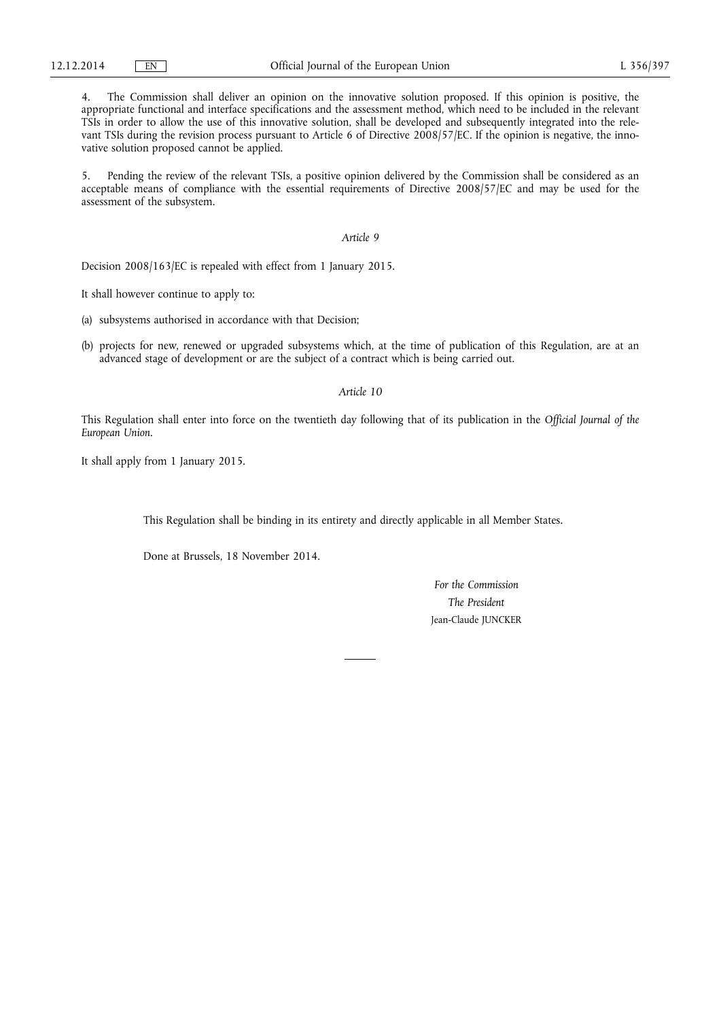4. The Commission shall deliver an opinion on the innovative solution proposed. If this opinion is positive, the appropriate functional and interface specifications and the assessment method, which need to be included in the relevant TSIs in order to allow the use of this innovative solution, shall be developed and subsequently integrated into the relevant TSIs during the revision process pursuant to Article 6 of Directive 2008/57/EC. If the opinion is negative, the innovative solution proposed cannot be applied.

5. Pending the review of the relevant TSIs, a positive opinion delivered by the Commission shall be considered as an acceptable means of compliance with the essential requirements of Directive 2008/57/EC and may be used for the assessment of the subsystem.

### *Article 9*

Decision 2008/163/EC is repealed with effect from 1 January 2015.

It shall however continue to apply to:

(a) subsystems authorised in accordance with that Decision;

(b) projects for new, renewed or upgraded subsystems which, at the time of publication of this Regulation, are at an advanced stage of development or are the subject of a contract which is being carried out.

### *Article 10*

This Regulation shall enter into force on the twentieth day following that of its publication in the *Official Journal of the European Union*.

It shall apply from 1 January 2015.

This Regulation shall be binding in its entirety and directly applicable in all Member States.

Done at Brussels, 18 November 2014.

*For the Commission The President*  Jean-Claude JUNCKER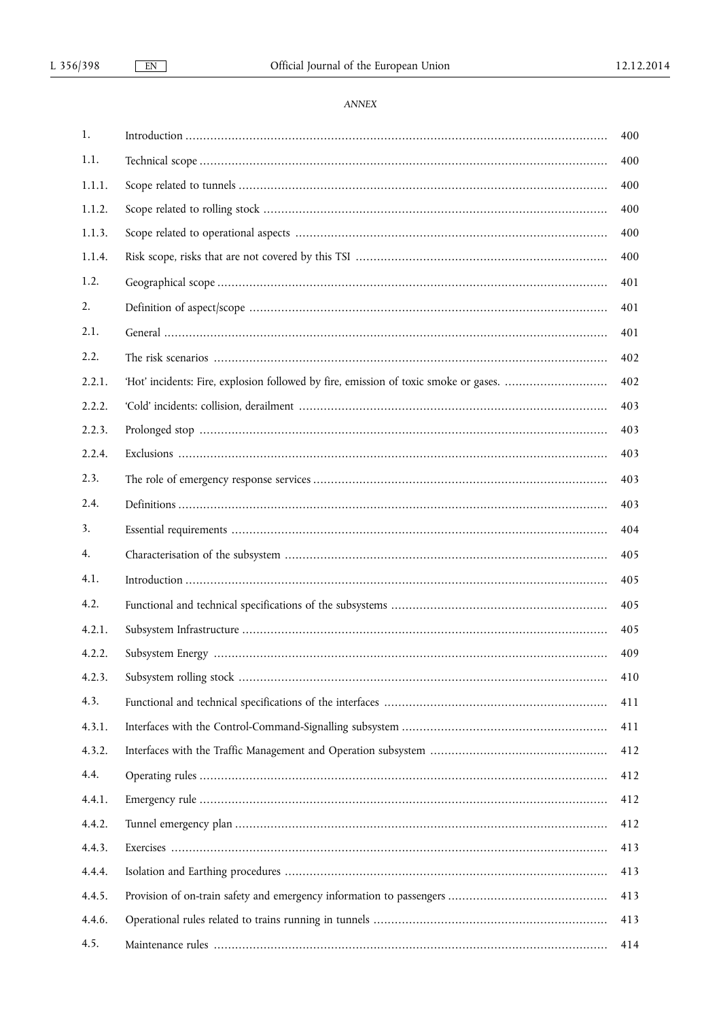$EN$ 

# ANNEX

| 1.     | 400 |
|--------|-----|
| 1.1.   | 400 |
| 1.1.1. | 400 |
| 1.1.2. | 400 |
| 1.1.3. | 400 |
| 1.1.4. | 400 |
| 1.2.   | 401 |
| 2.     | 401 |
| 2.1.   | 401 |
| 2.2.   | 402 |
| 2.2.1. | 402 |
| 2.2.2. | 403 |
| 2.2.3. | 403 |
| 2.2.4. | 403 |
| 2.3.   | 403 |
| 2.4.   | 403 |
| 3.     | 404 |
| 4.     | 405 |
| 4.1.   | 405 |
| 4.2.   | 405 |
| 4.2.1. | 405 |
| 4.2.2. | 409 |
| 4.2.3. | 410 |
| 4.3.   | 411 |
| 4.3.1. | 411 |
| 4.3.2. | 412 |
| 4.4.   | 412 |
| 4.4.1. | 412 |
| 4.4.2. | 412 |
| 4.4.3. | 413 |
| 4.4.4. | 413 |
| 4.4.5. | 413 |
| 4.4.6. | 413 |
| 4.5.   | 414 |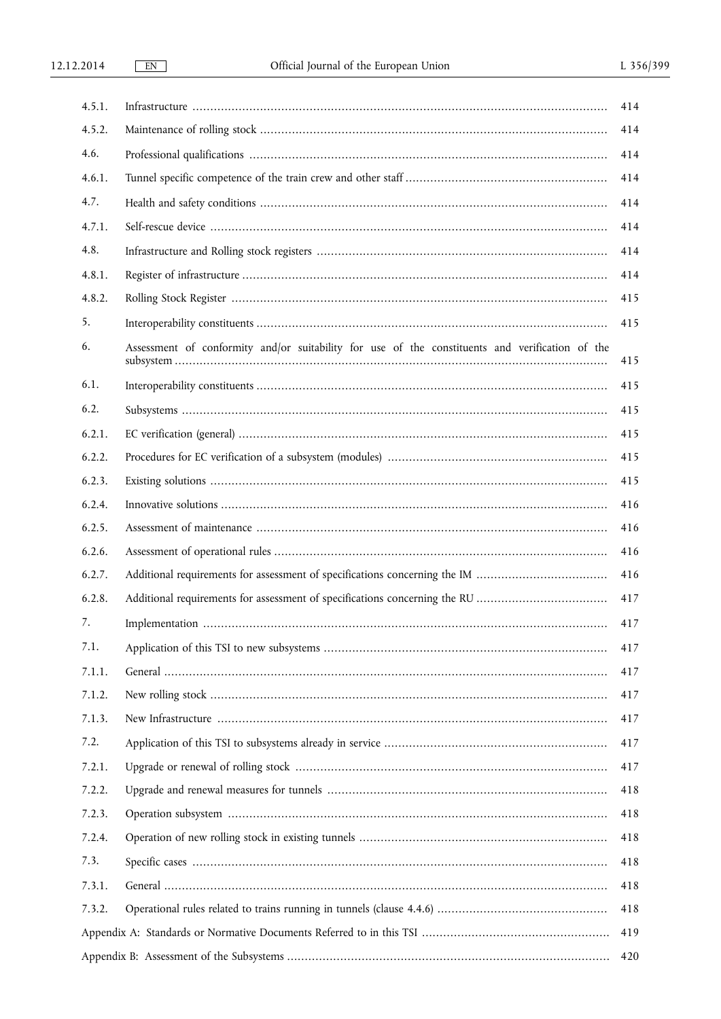| 4.5.1. |                                                                                                 | 414 |  |  |  |
|--------|-------------------------------------------------------------------------------------------------|-----|--|--|--|
| 4.5.2. |                                                                                                 | 414 |  |  |  |
| 4.6.   |                                                                                                 | 414 |  |  |  |
| 4.6.1. |                                                                                                 | 414 |  |  |  |
| 4.7.   |                                                                                                 | 414 |  |  |  |
| 4.7.1. |                                                                                                 | 414 |  |  |  |
| 4.8.   |                                                                                                 | 414 |  |  |  |
| 4.8.1. |                                                                                                 | 414 |  |  |  |
| 4.8.2. |                                                                                                 | 415 |  |  |  |
| 5.     |                                                                                                 | 415 |  |  |  |
| 6.     | Assessment of conformity and/or suitability for use of the constituents and verification of the | 415 |  |  |  |
| 6.1.   |                                                                                                 | 415 |  |  |  |
| 6.2.   |                                                                                                 | 415 |  |  |  |
| 6.2.1. |                                                                                                 | 415 |  |  |  |
| 6.2.2. |                                                                                                 | 415 |  |  |  |
| 6.2.3. |                                                                                                 | 415 |  |  |  |
| 6.2.4. |                                                                                                 | 416 |  |  |  |
| 6.2.5. |                                                                                                 | 416 |  |  |  |
| 6.2.6. |                                                                                                 | 416 |  |  |  |
| 6.2.7. | Additional requirements for assessment of specifications concerning the IM                      | 416 |  |  |  |
| 6.2.8. |                                                                                                 | 417 |  |  |  |
| 7.     |                                                                                                 | 417 |  |  |  |
| 7.1.   |                                                                                                 | 417 |  |  |  |
| 7.1.1. |                                                                                                 | 417 |  |  |  |
| 7.1.2. |                                                                                                 | 417 |  |  |  |
| 7.1.3. |                                                                                                 | 417 |  |  |  |
| 7.2.   |                                                                                                 | 417 |  |  |  |
| 7.2.1. |                                                                                                 | 417 |  |  |  |
| 7.2.2. |                                                                                                 | 418 |  |  |  |
| 7.2.3. |                                                                                                 | 418 |  |  |  |
| 7.2.4. |                                                                                                 | 418 |  |  |  |
| 7.3.   |                                                                                                 | 418 |  |  |  |
| 7.3.1. |                                                                                                 | 418 |  |  |  |
| 7.3.2. |                                                                                                 | 418 |  |  |  |
| 419    |                                                                                                 |     |  |  |  |
| 420    |                                                                                                 |     |  |  |  |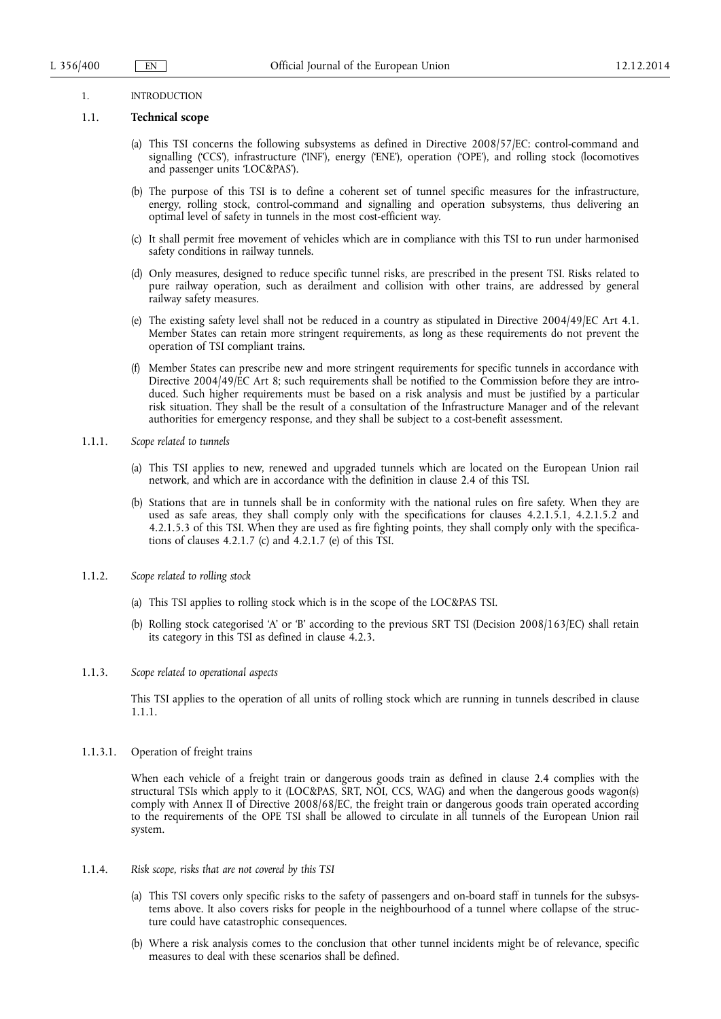#### 1. INTRODUCTION

#### 1.1. **Technical scope**

- (a) This TSI concerns the following subsystems as defined in Directive 2008/57/EC: control-command and signalling ('CCS'), infrastructure ('INF'), energy ('ENE'), operation ('OPE'), and rolling stock (locomotives and passenger units 'LOC&PAS').
- (b) The purpose of this TSI is to define a coherent set of tunnel specific measures for the infrastructure, energy, rolling stock, control-command and signalling and operation subsystems, thus delivering an optimal level of safety in tunnels in the most cost-efficient way.
- (c) It shall permit free movement of vehicles which are in compliance with this TSI to run under harmonised safety conditions in railway tunnels.
- (d) Only measures, designed to reduce specific tunnel risks, are prescribed in the present TSI. Risks related to pure railway operation, such as derailment and collision with other trains, are addressed by general railway safety measures.
- (e) The existing safety level shall not be reduced in a country as stipulated in Directive 2004/49/EC Art 4.1. Member States can retain more stringent requirements, as long as these requirements do not prevent the operation of TSI compliant trains.
- (f) Member States can prescribe new and more stringent requirements for specific tunnels in accordance with Directive 2004/49/EC Art 8; such requirements shall be notified to the Commission before they are introduced. Such higher requirements must be based on a risk analysis and must be justified by a particular risk situation. They shall be the result of a consultation of the Infrastructure Manager and of the relevant authorities for emergency response, and they shall be subject to a cost-benefit assessment.
- 1.1.1. *Scope related to tunnels* 
	- (a) This TSI applies to new, renewed and upgraded tunnels which are located on the European Union rail network, and which are in accordance with the definition in clause 2.4 of this TSI.
	- (b) Stations that are in tunnels shall be in conformity with the national rules on fire safety. When they are used as safe areas, they shall comply only with the specifications for clauses 4.2.1.5.1, 4.2.1.5.2 and 4.2.1.5.3 of this TSI. When they are used as fire fighting points, they shall comply only with the specifications of clauses 4.2.1.7 (c) and  $4.2.1.7$  (e) of this TSI.
- 1.1.2. *Scope related to rolling stock* 
	- (a) This TSI applies to rolling stock which is in the scope of the LOC&PAS TSI.
	- (b) Rolling stock categorised 'A' or 'B' according to the previous SRT TSI (Decision 2008/163/EC) shall retain its category in this TSI as defined in clause 4.2.3.
- 1.1.3. *Scope related to operational aspects*

This TSI applies to the operation of all units of rolling stock which are running in tunnels described in clause 1.1.1.

1.1.3.1. Operation of freight trains

When each vehicle of a freight train or dangerous goods train as defined in clause 2.4 complies with the structural TSIs which apply to it (LOC&PAS, SRT, NOI, CCS, WAG) and when the dangerous goods wagon(s) comply with Annex II of Directive 2008/68/EC, the freight train or dangerous goods train operated according to the requirements of the OPE TSI shall be allowed to circulate in all tunnels of the European Union rail system.

- 1.1.4. *Risk scope, risks that are not covered by this TSI* 
	- (a) This TSI covers only specific risks to the safety of passengers and on-board staff in tunnels for the subsystems above. It also covers risks for people in the neighbourhood of a tunnel where collapse of the structure could have catastrophic consequences.
	- (b) Where a risk analysis comes to the conclusion that other tunnel incidents might be of relevance, specific measures to deal with these scenarios shall be defined.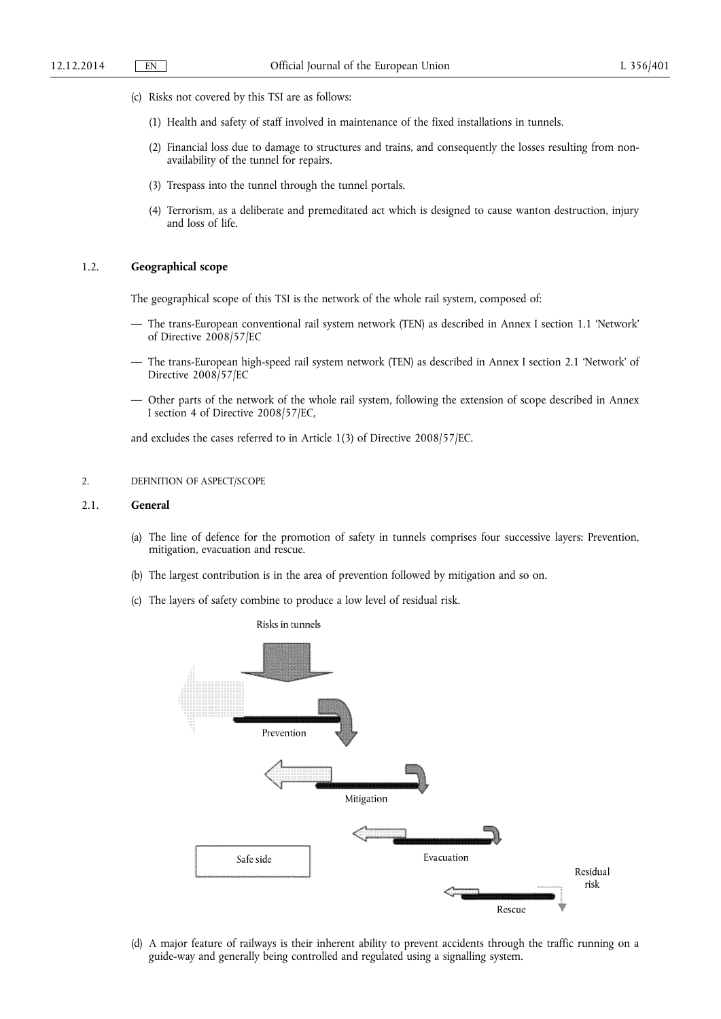- (c) Risks not covered by this TSI are as follows:
	- (1) Health and safety of staff involved in maintenance of the fixed installations in tunnels.
	- (2) Financial loss due to damage to structures and trains, and consequently the losses resulting from nonavailability of the tunnel for repairs.
	- (3) Trespass into the tunnel through the tunnel portals.
	- (4) Terrorism, as a deliberate and premeditated act which is designed to cause wanton destruction, injury and loss of life.

### 1.2. **Geographical scope**

The geographical scope of this TSI is the network of the whole rail system, composed of:

- The trans-European conventional rail system network (TEN) as described in Annex I section 1.1 'Network' of Directive 2008/57/EC
- The trans-European high-speed rail system network (TEN) as described in Annex I section 2.1 'Network' of Directive 2008/57/EC
- Other parts of the network of the whole rail system, following the extension of scope described in Annex I section 4 of Directive 2008/57/EC,

and excludes the cases referred to in Article 1(3) of Directive 2008/57/EC.

### 2. DEFINITION OF ASPECT/SCOPE

#### 2.1. **General**

- (a) The line of defence for the promotion of safety in tunnels comprises four successive layers: Prevention, mitigation, evacuation and rescue.
- (b) The largest contribution is in the area of prevention followed by mitigation and so on.
- (c) The layers of safety combine to produce a low level of residual risk.



(d) A major feature of railways is their inherent ability to prevent accidents through the traffic running on a guide-way and generally being controlled and regulated using a signalling system.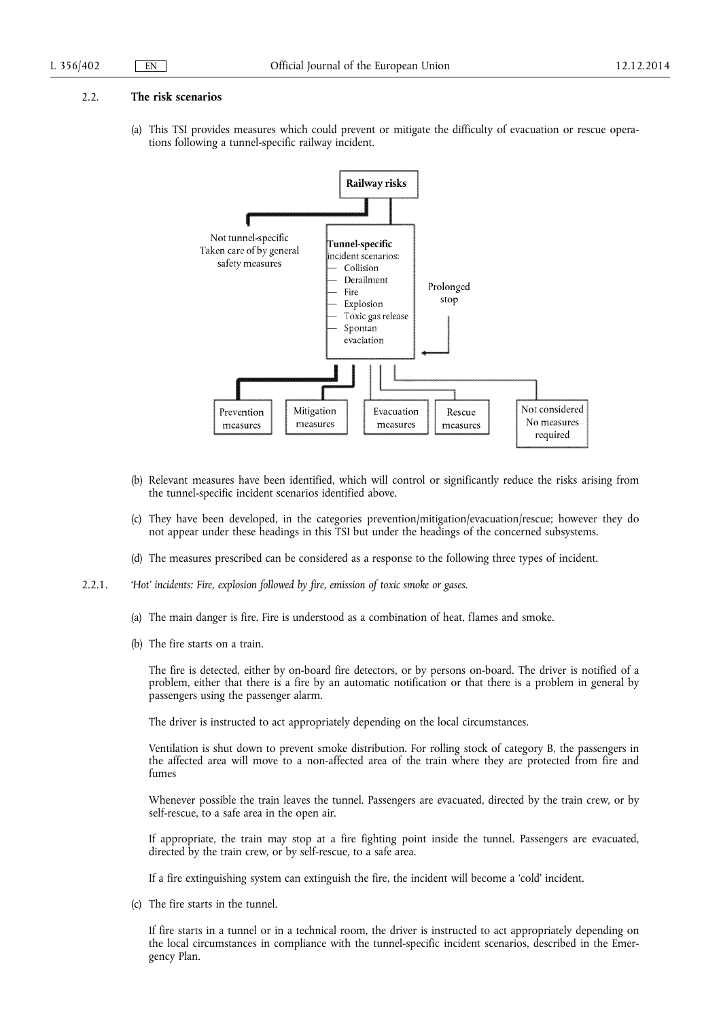#### 2.2. **The risk scenarios**

(a) This TSI provides measures which could prevent or mitigate the difficulty of evacuation or rescue operations following a tunnel-specific railway incident.



- (b) Relevant measures have been identified, which will control or significantly reduce the risks arising from the tunnel-specific incident scenarios identified above.
- (c) They have been developed, in the categories prevention/mitigation/evacuation/rescue; however they do not appear under these headings in this TSI but under the headings of the concerned subsystems.
- (d) The measures prescribed can be considered as a response to the following three types of incident.
- 2.2.1. *'Hot' incidents: Fire, explosion followed by fire, emission of toxic smoke or gases.* 
	- (a) The main danger is fire. Fire is understood as a combination of heat, flames and smoke.
	- (b) The fire starts on a train.

The fire is detected, either by on-board fire detectors, or by persons on-board. The driver is notified of a problem, either that there is a fire by an automatic notification or that there is a problem in general by passengers using the passenger alarm.

The driver is instructed to act appropriately depending on the local circumstances.

Ventilation is shut down to prevent smoke distribution. For rolling stock of category B, the passengers in the affected area will move to a non-affected area of the train where they are protected from fire and fumes

Whenever possible the train leaves the tunnel. Passengers are evacuated, directed by the train crew, or by self-rescue, to a safe area in the open air.

If appropriate, the train may stop at a fire fighting point inside the tunnel. Passengers are evacuated, directed by the train crew, or by self-rescue, to a safe area.

If a fire extinguishing system can extinguish the fire, the incident will become a 'cold' incident.

(c) The fire starts in the tunnel.

If fire starts in a tunnel or in a technical room, the driver is instructed to act appropriately depending on the local circumstances in compliance with the tunnel-specific incident scenarios, described in the Emergency Plan.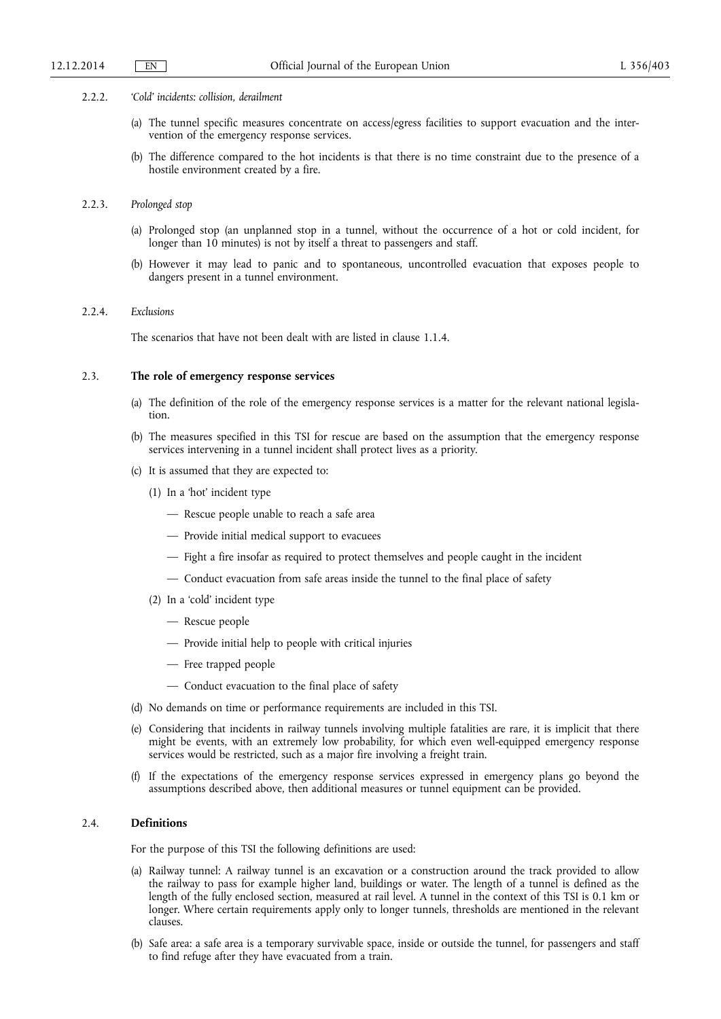#### 2.2.2. *'Cold' incidents: collision, derailment*

- (a) The tunnel specific measures concentrate on access/egress facilities to support evacuation and the intervention of the emergency response services.
- (b) The difference compared to the hot incidents is that there is no time constraint due to the presence of a hostile environment created by a fire.

### 2.2.3. *Prolonged stop*

- (a) Prolonged stop (an unplanned stop in a tunnel, without the occurrence of a hot or cold incident, for longer than 10 minutes) is not by itself a threat to passengers and staff.
- (b) However it may lead to panic and to spontaneous, uncontrolled evacuation that exposes people to dangers present in a tunnel environment.

### 2.2.4. *Exclusions*

The scenarios that have not been dealt with are listed in clause 1.1.4.

### 2.3. **The role of emergency response services**

- (a) The definition of the role of the emergency response services is a matter for the relevant national legislation.
- (b) The measures specified in this TSI for rescue are based on the assumption that the emergency response services intervening in a tunnel incident shall protect lives as a priority.
- (c) It is assumed that they are expected to:
	- (1) In a 'hot' incident type
		- Rescue people unable to reach a safe area
		- Provide initial medical support to evacuees
		- Fight a fire insofar as required to protect themselves and people caught in the incident
		- Conduct evacuation from safe areas inside the tunnel to the final place of safety
	- (2) In a 'cold' incident type
		- Rescue people
		- Provide initial help to people with critical injuries
		- Free trapped people
		- Conduct evacuation to the final place of safety
- (d) No demands on time or performance requirements are included in this TSI.
- (e) Considering that incidents in railway tunnels involving multiple fatalities are rare, it is implicit that there might be events, with an extremely low probability, for which even well-equipped emergency response services would be restricted, such as a major fire involving a freight train.
- (f) If the expectations of the emergency response services expressed in emergency plans go beyond the assumptions described above, then additional measures or tunnel equipment can be provided.

### 2.4. **Definitions**

- For the purpose of this TSI the following definitions are used:
- (a) Railway tunnel: A railway tunnel is an excavation or a construction around the track provided to allow the railway to pass for example higher land, buildings or water. The length of a tunnel is defined as the length of the fully enclosed section, measured at rail level. A tunnel in the context of this TSI is 0.1 km or longer. Where certain requirements apply only to longer tunnels, thresholds are mentioned in the relevant clauses.
- (b) Safe area: a safe area is a temporary survivable space, inside or outside the tunnel, for passengers and staff to find refuge after they have evacuated from a train.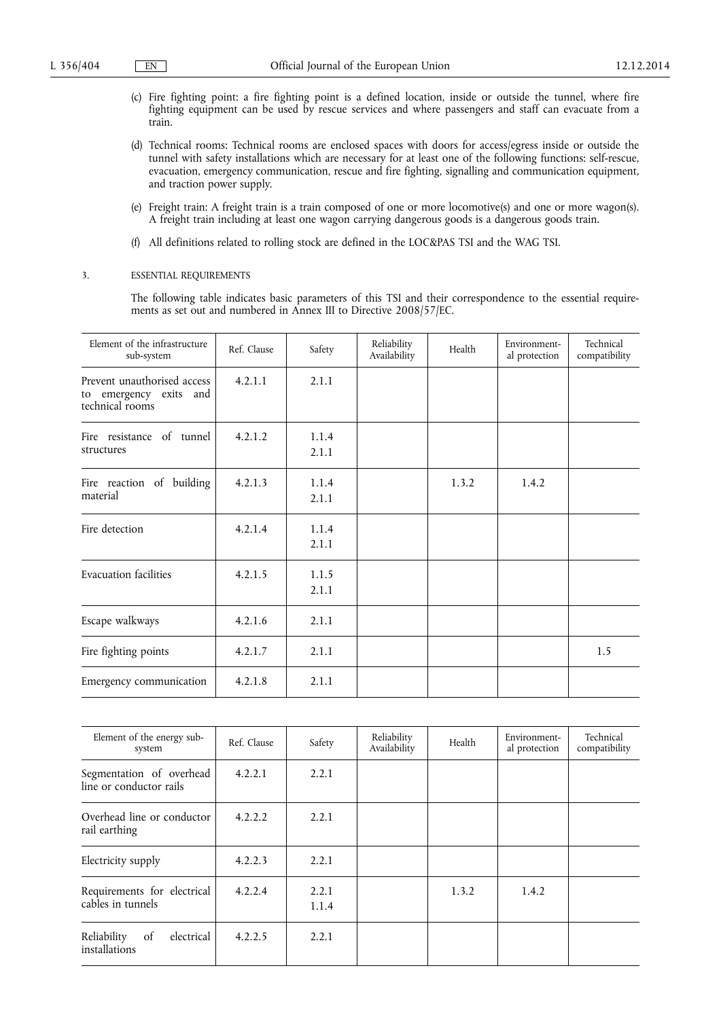- (c) Fire fighting point: a fire fighting point is a defined location, inside or outside the tunnel, where fire fighting equipment can be used by rescue services and where passengers and staff can evacuate from a train.
- (d) Technical rooms: Technical rooms are enclosed spaces with doors for access/egress inside or outside the tunnel with safety installations which are necessary for at least one of the following functions: self-rescue, evacuation, emergency communication, rescue and fire fighting, signalling and communication equipment, and traction power supply.
- (e) Freight train: A freight train is a train composed of one or more locomotive(s) and one or more wagon(s). A freight train including at least one wagon carrying dangerous goods is a dangerous goods train.
- (f) All definitions related to rolling stock are defined in the LOC&PAS TSI and the WAG TSI.

#### 3. ESSENTIAL REQUIREMENTS

The following table indicates basic parameters of this TSI and their correspondence to the essential requirements as set out and numbered in Annex III to Directive 2008/57/EC.

| Element of the infrastructure<br>sub-system                              | Ref. Clause | Safety         | Reliability<br>Availability | Health | Environment-<br>al protection | Technical<br>compatibility |
|--------------------------------------------------------------------------|-------------|----------------|-----------------------------|--------|-------------------------------|----------------------------|
| Prevent unauthorised access<br>to emergency exits and<br>technical rooms | 4.2.1.1     | 2.1.1          |                             |        |                               |                            |
| Fire resistance of tunnel<br>structures                                  | 4.2.1.2     | 1.1.4<br>2.1.1 |                             |        |                               |                            |
| Fire reaction of building<br>material                                    | 4.2.1.3     | 1.1.4<br>2.1.1 |                             | 1.3.2  | 1.4.2                         |                            |
| Fire detection                                                           | 4.2.1.4     | 1.1.4<br>2.1.1 |                             |        |                               |                            |
| <b>Evacuation facilities</b>                                             | 4.2.1.5     | 1.1.5<br>2.1.1 |                             |        |                               |                            |
| Escape walkways                                                          | 4.2.1.6     | 2.1.1          |                             |        |                               |                            |
| Fire fighting points                                                     | 4.2.1.7     | 2.1.1          |                             |        |                               | 1.5                        |
| Emergency communication                                                  | 4.2.1.8     | 2.1.1          |                             |        |                               |                            |

| Element of the energy sub-<br>system                | Ref. Clause | Safety         | Reliability<br>Availability | Health | Environment-<br>al protection | Technical<br>compatibility |
|-----------------------------------------------------|-------------|----------------|-----------------------------|--------|-------------------------------|----------------------------|
| Segmentation of overhead<br>line or conductor rails | 4.2.2.1     | 2.2.1          |                             |        |                               |                            |
| Overhead line or conductor<br>rail earthing         | 4.2.2.2     | 2.2.1          |                             |        |                               |                            |
| Electricity supply                                  | 4.2.2.3     | 2.2.1          |                             |        |                               |                            |
| Requirements for electrical<br>cables in tunnels    | 4.2.2.4     | 2.2.1<br>1.1.4 |                             | 1.3.2  | 1.4.2                         |                            |
| Reliability<br>electrical<br>of<br>installations    | 4.2.2.5     | 2.2.1          |                             |        |                               |                            |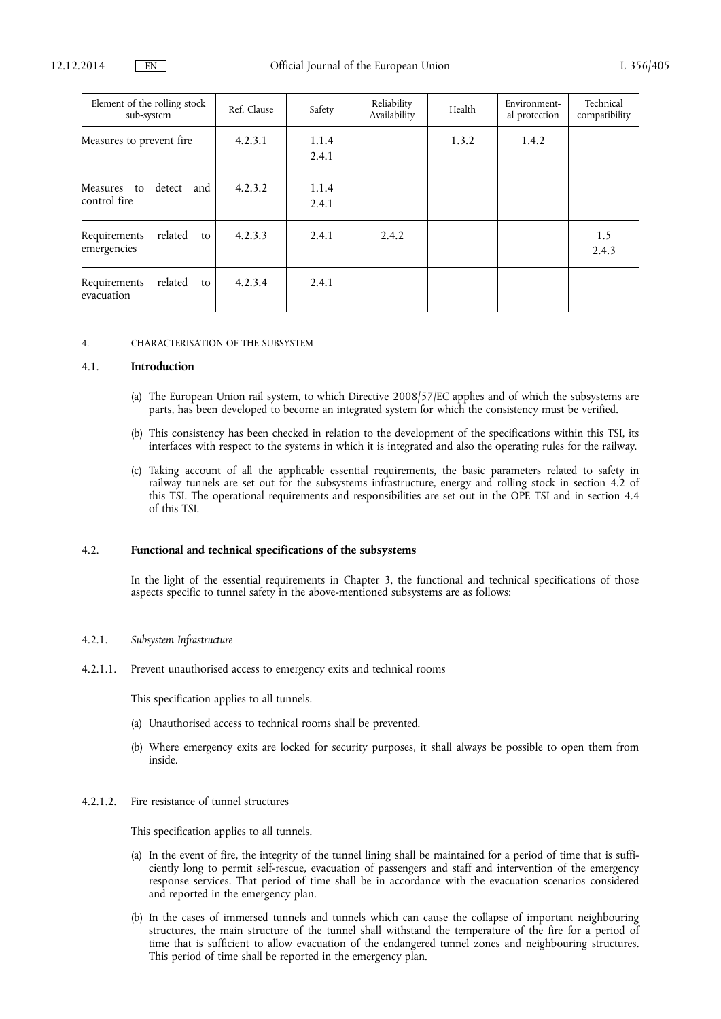| Element of the rolling stock<br>sub-system   | Ref. Clause | Safety         | Reliability<br>Availability | Health | Environment-<br>al protection | Technical<br>compatibility |
|----------------------------------------------|-------------|----------------|-----------------------------|--------|-------------------------------|----------------------------|
| Measures to prevent fire                     | 4.2.3.1     | 1.1.4<br>2.4.1 |                             | 1.3.2  | 1.4.2                         |                            |
| detect<br>and<br>Measures to<br>control fire | 4.2.3.2     | 1.1.4<br>2.4.1 |                             |        |                               |                            |
| related<br>Requirements<br>to<br>emergencies | 4.2.3.3     | 2.4.1          | 2.4.2                       |        |                               | 1.5<br>2.4.3               |
| related<br>Requirements<br>to<br>evacuation  | 4.2.3.4     | 2.4.1          |                             |        |                               |                            |

4. CHARACTERISATION OF THE SUBSYSTEM

### 4.1. **Introduction**

- (a) The European Union rail system, to which Directive 2008/57/EC applies and of which the subsystems are parts, has been developed to become an integrated system for which the consistency must be verified.
- (b) This consistency has been checked in relation to the development of the specifications within this TSI, its interfaces with respect to the systems in which it is integrated and also the operating rules for the railway.
- (c) Taking account of all the applicable essential requirements, the basic parameters related to safety in railway tunnels are set out for the subsystems infrastructure, energy and rolling stock in section 4.2 of this TSI. The operational requirements and responsibilities are set out in the OPE TSI and in section 4.4 of this TSI.

#### 4.2. **Functional and technical specifications of the subsystems**

In the light of the essential requirements in Chapter 3, the functional and technical specifications of those aspects specific to tunnel safety in the above-mentioned subsystems are as follows:

### 4.2.1. *Subsystem Infrastructure*

4.2.1.1. Prevent unauthorised access to emergency exits and technical rooms

This specification applies to all tunnels.

- (a) Unauthorised access to technical rooms shall be prevented.
- (b) Where emergency exits are locked for security purposes, it shall always be possible to open them from inside.

### 4.2.1.2. Fire resistance of tunnel structures

This specification applies to all tunnels.

- (a) In the event of fire, the integrity of the tunnel lining shall be maintained for a period of time that is sufficiently long to permit self-rescue, evacuation of passengers and staff and intervention of the emergency response services. That period of time shall be in accordance with the evacuation scenarios considered and reported in the emergency plan.
- (b) In the cases of immersed tunnels and tunnels which can cause the collapse of important neighbouring structures, the main structure of the tunnel shall withstand the temperature of the fire for a period of time that is sufficient to allow evacuation of the endangered tunnel zones and neighbouring structures. This period of time shall be reported in the emergency plan.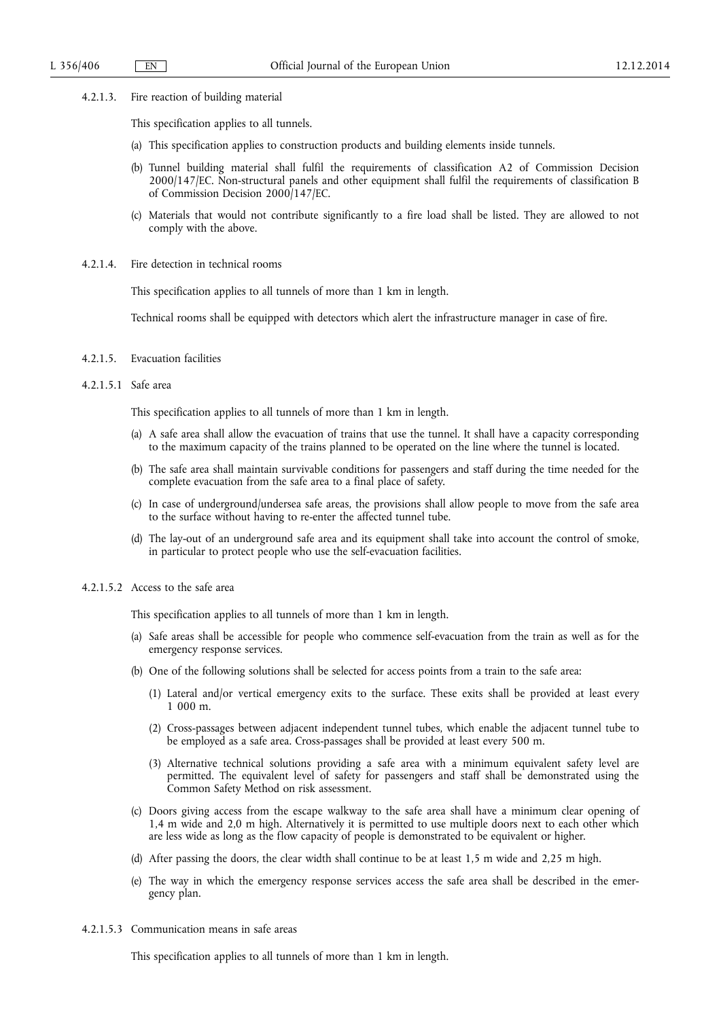- 4.2.1.3. Fire reaction of building material
	- This specification applies to all tunnels.
	- (a) This specification applies to construction products and building elements inside tunnels.
	- (b) Tunnel building material shall fulfil the requirements of classification A2 of Commission Decision 2000/147/EC. Non-structural panels and other equipment shall fulfil the requirements of classification B of Commission Decision 2000/147/EC.
	- (c) Materials that would not contribute significantly to a fire load shall be listed. They are allowed to not comply with the above.
- 4.2.1.4. Fire detection in technical rooms

This specification applies to all tunnels of more than 1 km in length.

Technical rooms shall be equipped with detectors which alert the infrastructure manager in case of fire.

- 4.2.1.5. Evacuation facilities
- 4.2.1.5.1 Safe area

This specification applies to all tunnels of more than 1 km in length.

- (a) A safe area shall allow the evacuation of trains that use the tunnel. It shall have a capacity corresponding to the maximum capacity of the trains planned to be operated on the line where the tunnel is located.
- (b) The safe area shall maintain survivable conditions for passengers and staff during the time needed for the complete evacuation from the safe area to a final place of safety.
- (c) In case of underground/undersea safe areas, the provisions shall allow people to move from the safe area to the surface without having to re-enter the affected tunnel tube.
- (d) The lay-out of an underground safe area and its equipment shall take into account the control of smoke, in particular to protect people who use the self-evacuation facilities.
- 4.2.1.5.2 Access to the safe area

This specification applies to all tunnels of more than 1 km in length.

- (a) Safe areas shall be accessible for people who commence self-evacuation from the train as well as for the emergency response services.
- (b) One of the following solutions shall be selected for access points from a train to the safe area:
	- (1) Lateral and/or vertical emergency exits to the surface. These exits shall be provided at least every 1 000 m.
	- (2) Cross-passages between adjacent independent tunnel tubes, which enable the adjacent tunnel tube to be employed as a safe area. Cross-passages shall be provided at least every 500 m.
	- (3) Alternative technical solutions providing a safe area with a minimum equivalent safety level are permitted. The equivalent level of safety for passengers and staff shall be demonstrated using the Common Safety Method on risk assessment.
- (c) Doors giving access from the escape walkway to the safe area shall have a minimum clear opening of 1,4 m wide and 2,0 m high. Alternatively it is permitted to use multiple doors next to each other which are less wide as long as the flow capacity of people is demonstrated to be equivalent or higher.
- (d) After passing the doors, the clear width shall continue to be at least 1,5 m wide and 2,25 m high.
- (e) The way in which the emergency response services access the safe area shall be described in the emergency plan.
- 4.2.1.5.3 Communication means in safe areas

This specification applies to all tunnels of more than 1 km in length.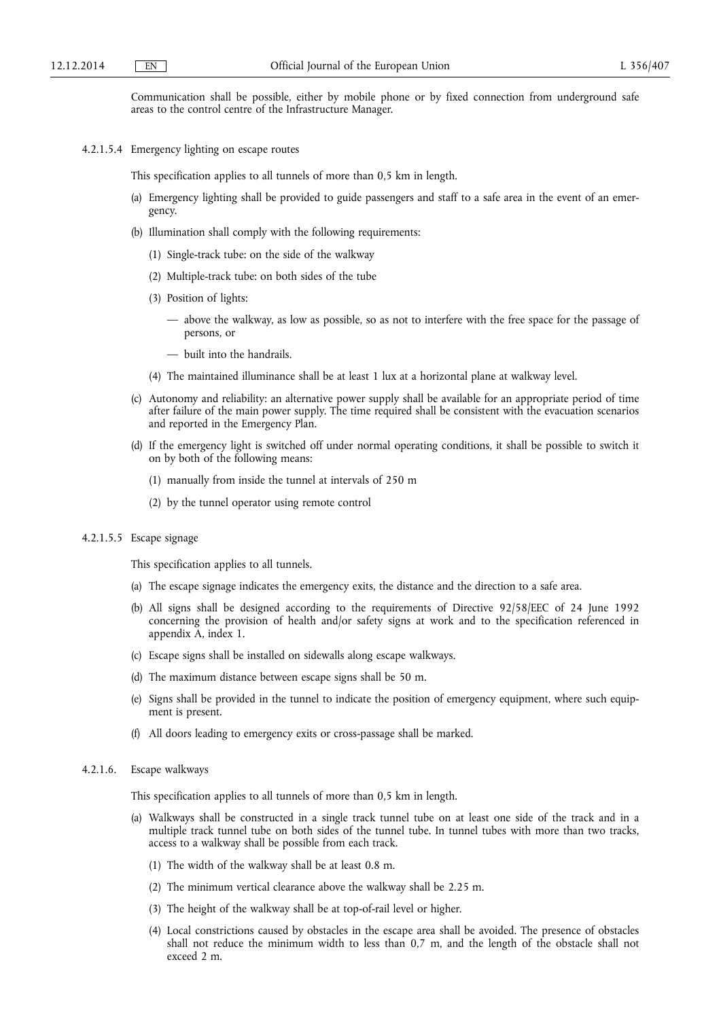Communication shall be possible, either by mobile phone or by fixed connection from underground safe areas to the control centre of the Infrastructure Manager.

4.2.1.5.4 Emergency lighting on escape routes

This specification applies to all tunnels of more than 0,5 km in length.

- (a) Emergency lighting shall be provided to guide passengers and staff to a safe area in the event of an emergency.
- (b) Illumination shall comply with the following requirements:
	- (1) Single-track tube: on the side of the walkway
	- (2) Multiple-track tube: on both sides of the tube
	- (3) Position of lights:
		- above the walkway, as low as possible, so as not to interfere with the free space for the passage of persons, or
		- built into the handrails.
	- (4) The maintained illuminance shall be at least 1 lux at a horizontal plane at walkway level.
- (c) Autonomy and reliability: an alternative power supply shall be available for an appropriate period of time after failure of the main power supply. The time required shall be consistent with the evacuation scenarios and reported in the Emergency Plan.
- (d) If the emergency light is switched off under normal operating conditions, it shall be possible to switch it on by both of the following means:
	- (1) manually from inside the tunnel at intervals of 250 m
	- (2) by the tunnel operator using remote control

### 4.2.1.5.5 Escape signage

This specification applies to all tunnels.

- (a) The escape signage indicates the emergency exits, the distance and the direction to a safe area.
- (b) All signs shall be designed according to the requirements of Directive 92/58/EEC of 24 June 1992 concerning the provision of health and/or safety signs at work and to the specification referenced in appendix A, index 1.
- (c) Escape signs shall be installed on sidewalls along escape walkways.
- (d) The maximum distance between escape signs shall be 50 m.
- (e) Signs shall be provided in the tunnel to indicate the position of emergency equipment, where such equipment is present.
- (f) All doors leading to emergency exits or cross-passage shall be marked.

#### 4.2.1.6. Escape walkways

This specification applies to all tunnels of more than 0,5 km in length.

- (a) Walkways shall be constructed in a single track tunnel tube on at least one side of the track and in a multiple track tunnel tube on both sides of the tunnel tube. In tunnel tubes with more than two tracks, access to a walkway shall be possible from each track.
	- (1) The width of the walkway shall be at least 0.8 m.
	- (2) The minimum vertical clearance above the walkway shall be 2.25 m.
	- (3) The height of the walkway shall be at top-of-rail level or higher.
	- (4) Local constrictions caused by obstacles in the escape area shall be avoided. The presence of obstacles shall not reduce the minimum width to less than 0,7 m, and the length of the obstacle shall not exceed 2 m.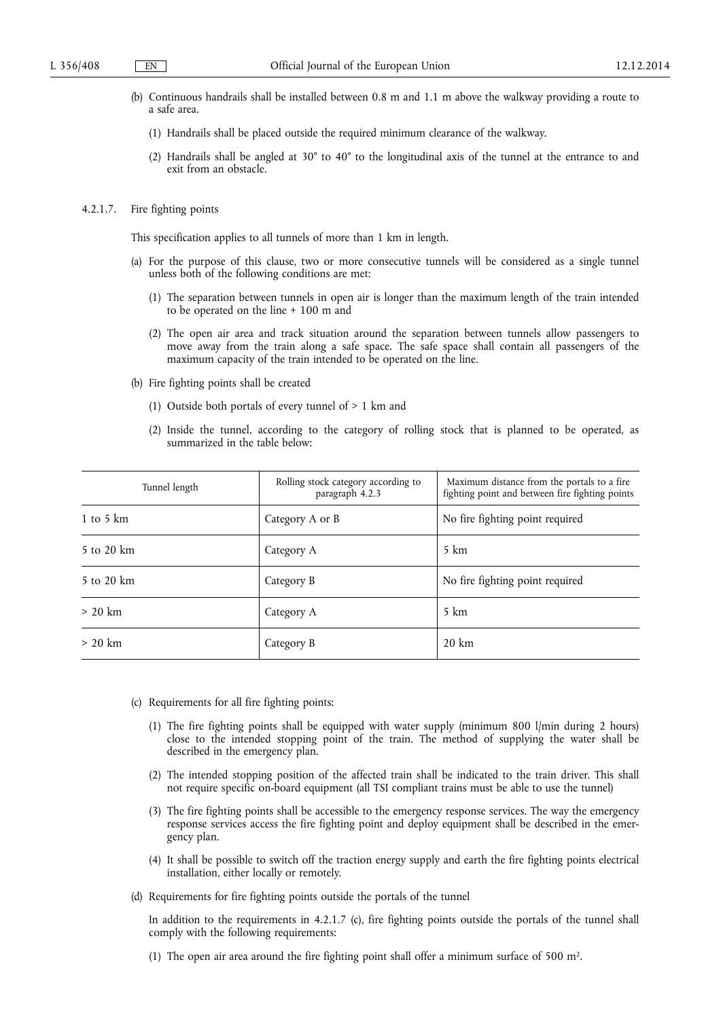- (b) Continuous handrails shall be installed between 0.8 m and 1.1 m above the walkway providing a route to a safe area.
	- (1) Handrails shall be placed outside the required minimum clearance of the walkway.
	- (2) Handrails shall be angled at 30° to 40° to the longitudinal axis of the tunnel at the entrance to and exit from an obstacle.
- 4.2.1.7. Fire fighting points

This specification applies to all tunnels of more than 1 km in length.

- (a) For the purpose of this clause, two or more consecutive tunnels will be considered as a single tunnel unless both of the following conditions are met:
	- (1) The separation between tunnels in open air is longer than the maximum length of the train intended to be operated on the line + 100 m and
	- (2) The open air area and track situation around the separation between tunnels allow passengers to move away from the train along a safe space. The safe space shall contain all passengers of the maximum capacity of the train intended to be operated on the line.
- (b) Fire fighting points shall be created
	- (1) Outside both portals of every tunnel of > 1 km and
	- (2) Inside the tunnel, according to the category of rolling stock that is planned to be operated, as summarized in the table below:

| Tunnel length | Rolling stock category according to<br>paragraph 4.2.3 | Maximum distance from the portals to a fire.<br>fighting point and between fire fighting points |
|---------------|--------------------------------------------------------|-------------------------------------------------------------------------------------------------|
| 1 to 5 $km$   | Category A or B                                        | No fire fighting point required                                                                 |
| 5 to 20 km    | Category A                                             | 5 km                                                                                            |
| 5 to 20 km    | Category B                                             | No fire fighting point required                                                                 |
| $> 20$ km     | Category A                                             | 5 km                                                                                            |
| $> 20$ km     | Category B                                             | $20 \text{ km}$                                                                                 |

- (c) Requirements for all fire fighting points:
	- (1) The fire fighting points shall be equipped with water supply (minimum 800 l/min during 2 hours) close to the intended stopping point of the train. The method of supplying the water shall be described in the emergency plan.
	- (2) The intended stopping position of the affected train shall be indicated to the train driver. This shall not require specific on-board equipment (all TSI compliant trains must be able to use the tunnel)
	- (3) The fire fighting points shall be accessible to the emergency response services. The way the emergency response services access the fire fighting point and deploy equipment shall be described in the emergency plan.
	- (4) It shall be possible to switch off the traction energy supply and earth the fire fighting points electrical installation, either locally or remotely.
- (d) Requirements for fire fighting points outside the portals of the tunnel

In addition to the requirements in 4.2.1.7 (c), fire fighting points outside the portals of the tunnel shall comply with the following requirements:

(1) The open air area around the fire fighting point shall offer a minimum surface of 500 m2.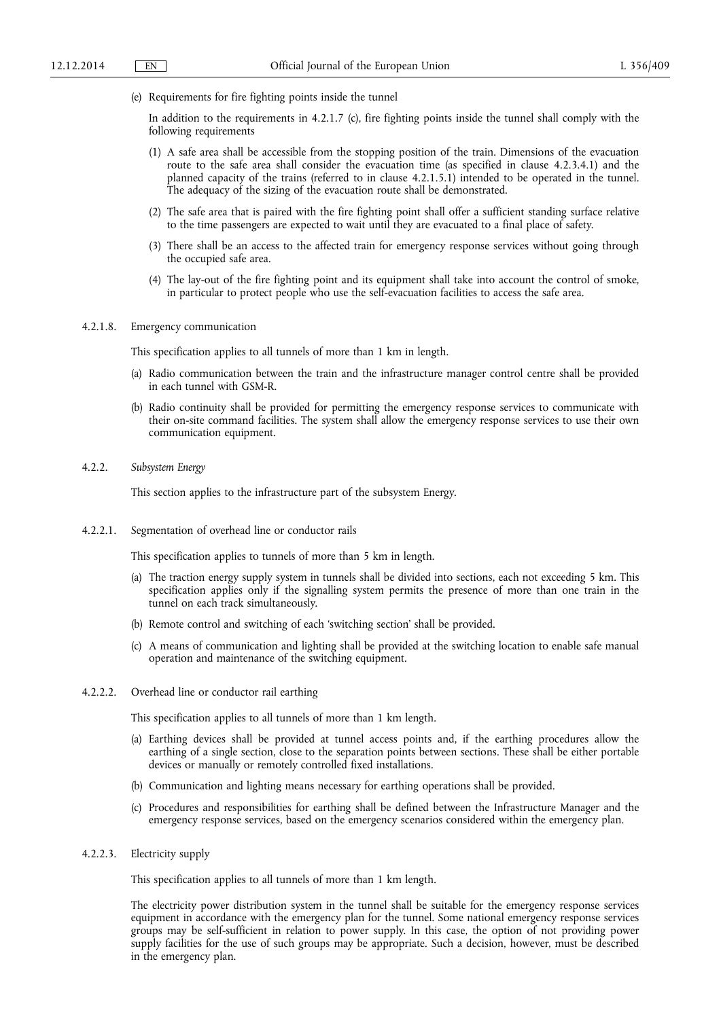(e) Requirements for fire fighting points inside the tunnel

In addition to the requirements in 4.2.1.7 (c), fire fighting points inside the tunnel shall comply with the following requirements

- (1) A safe area shall be accessible from the stopping position of the train. Dimensions of the evacuation route to the safe area shall consider the evacuation time (as specified in clause 4.2.3.4.1) and the planned capacity of the trains (referred to in clause 4.2.1.5.1) intended to be operated in the tunnel. The adequacy of the sizing of the evacuation route shall be demonstrated.
- (2) The safe area that is paired with the fire fighting point shall offer a sufficient standing surface relative to the time passengers are expected to wait until they are evacuated to a final place of safety.
- (3) There shall be an access to the affected train for emergency response services without going through the occupied safe area.
- (4) The lay-out of the fire fighting point and its equipment shall take into account the control of smoke, in particular to protect people who use the self-evacuation facilities to access the safe area.

### 4.2.1.8. Emergency communication

This specification applies to all tunnels of more than 1 km in length.

- (a) Radio communication between the train and the infrastructure manager control centre shall be provided in each tunnel with GSM-R.
- (b) Radio continuity shall be provided for permitting the emergency response services to communicate with their on-site command facilities. The system shall allow the emergency response services to use their own communication equipment.

#### 4.2.2. *Subsystem Energy*

This section applies to the infrastructure part of the subsystem Energy.

4.2.2.1. Segmentation of overhead line or conductor rails

This specification applies to tunnels of more than 5 km in length.

- (a) The traction energy supply system in tunnels shall be divided into sections, each not exceeding 5 km. This specification applies only if the signalling system permits the presence of more than one train in the tunnel on each track simultaneously.
- (b) Remote control and switching of each 'switching section' shall be provided.
- (c) A means of communication and lighting shall be provided at the switching location to enable safe manual operation and maintenance of the switching equipment.

#### 4.2.2.2. Overhead line or conductor rail earthing

This specification applies to all tunnels of more than 1 km length.

- (a) Earthing devices shall be provided at tunnel access points and, if the earthing procedures allow the earthing of a single section, close to the separation points between sections. These shall be either portable devices or manually or remotely controlled fixed installations.
- (b) Communication and lighting means necessary for earthing operations shall be provided.
- (c) Procedures and responsibilities for earthing shall be defined between the Infrastructure Manager and the emergency response services, based on the emergency scenarios considered within the emergency plan.

### 4.2.2.3. Electricity supply

This specification applies to all tunnels of more than 1 km length.

The electricity power distribution system in the tunnel shall be suitable for the emergency response services equipment in accordance with the emergency plan for the tunnel. Some national emergency response services groups may be self-sufficient in relation to power supply. In this case, the option of not providing power supply facilities for the use of such groups may be appropriate. Such a decision, however, must be described in the emergency plan.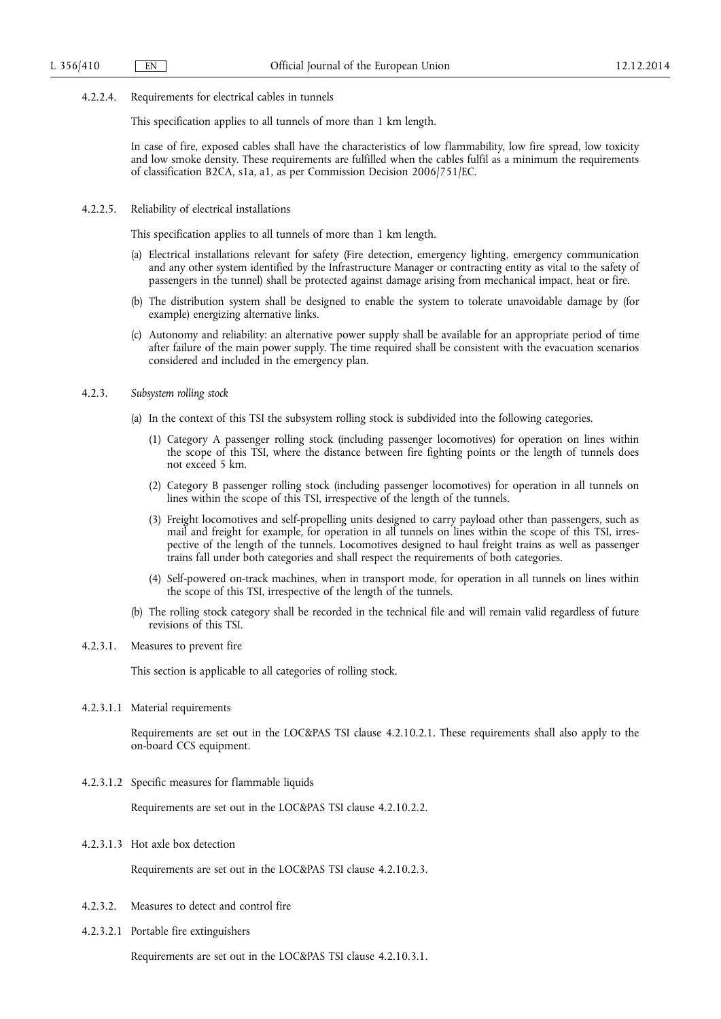4.2.2.4. Requirements for electrical cables in tunnels

This specification applies to all tunnels of more than 1 km length.

In case of fire, exposed cables shall have the characteristics of low flammability, low fire spread, low toxicity and low smoke density. These requirements are fulfilled when the cables fulfil as a minimum the requirements of classification B2CA, s1a, a1, as per Commission Decision 2006/751/EC.

4.2.2.5. Reliability of electrical installations

This specification applies to all tunnels of more than 1 km length.

- (a) Electrical installations relevant for safety (Fire detection, emergency lighting, emergency communication and any other system identified by the Infrastructure Manager or contracting entity as vital to the safety of passengers in the tunnel) shall be protected against damage arising from mechanical impact, heat or fire.
- (b) The distribution system shall be designed to enable the system to tolerate unavoidable damage by (for example) energizing alternative links.
- (c) Autonomy and reliability: an alternative power supply shall be available for an appropriate period of time after failure of the main power supply. The time required shall be consistent with the evacuation scenarios considered and included in the emergency plan.
- 4.2.3. *Subsystem rolling stock* 
	- (a) In the context of this TSI the subsystem rolling stock is subdivided into the following categories.
		- (1) Category A passenger rolling stock (including passenger locomotives) for operation on lines within the scope of this TSI, where the distance between fire fighting points or the length of tunnels does not exceed 5 km.
		- (2) Category B passenger rolling stock (including passenger locomotives) for operation in all tunnels on lines within the scope of this TSI, irrespective of the length of the tunnels.
		- (3) Freight locomotives and self-propelling units designed to carry payload other than passengers, such as mail and freight for example, for operation in all tunnels on lines within the scope of this TSI, irrespective of the length of the tunnels. Locomotives designed to haul freight trains as well as passenger trains fall under both categories and shall respect the requirements of both categories.
		- (4) Self-powered on-track machines, when in transport mode, for operation in all tunnels on lines within the scope of this TSI, irrespective of the length of the tunnels.
	- (b) The rolling stock category shall be recorded in the technical file and will remain valid regardless of future revisions of this TSI.

### 4.2.3.1. Measures to prevent fire

This section is applicable to all categories of rolling stock.

4.2.3.1.1 Material requirements

Requirements are set out in the LOC&PAS TSI clause 4.2.10.2.1. These requirements shall also apply to the on-board CCS equipment.

4.2.3.1.2 Specific measures for flammable liquids

Requirements are set out in the LOC&PAS TSI clause 4.2.10.2.2.

4.2.3.1.3 Hot axle box detection

Requirements are set out in the LOC&PAS TSI clause 4.2.10.2.3.

- 4.2.3.2. Measures to detect and control fire
- 4.2.3.2.1 Portable fire extinguishers

Requirements are set out in the LOC&PAS TSI clause 4.2.10.3.1.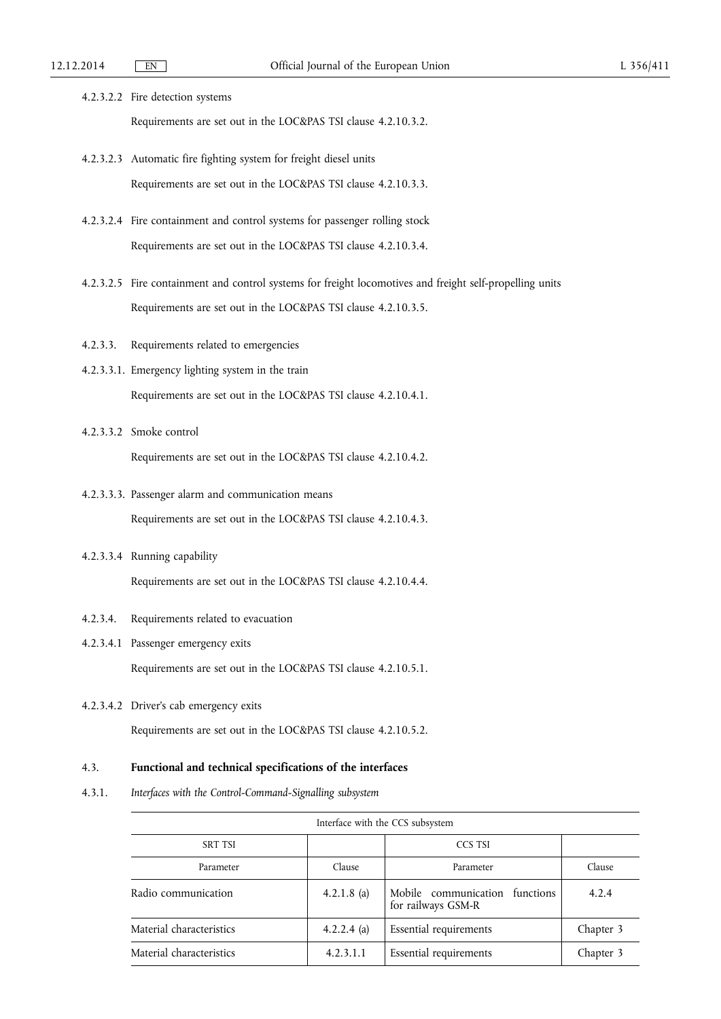- 4.2.3.2.2 Fire detection systems Requirements are set out in the LOC&PAS TSI clause 4.2.10.3.2.
- 4.2.3.2.3 Automatic fire fighting system for freight diesel units Requirements are set out in the LOC&PAS TSI clause 4.2.10.3.3.
- 4.2.3.2.4 Fire containment and control systems for passenger rolling stock Requirements are set out in the LOC&PAS TSI clause 4.2.10.3.4.
- 4.2.3.2.5 Fire containment and control systems for freight locomotives and freight self-propelling units Requirements are set out in the LOC&PAS TSI clause 4.2.10.3.5.
- 4.2.3.3. Requirements related to emergencies
- 4.2.3.3.1. Emergency lighting system in the train Requirements are set out in the LOC&PAS TSI clause 4.2.10.4.1.
- 4.2.3.3.2 Smoke control

Requirements are set out in the LOC&PAS TSI clause 4.2.10.4.2.

- 4.2.3.3.3. Passenger alarm and communication means Requirements are set out in the LOC&PAS TSI clause 4.2.10.4.3.
- 4.2.3.3.4 Running capability

Requirements are set out in the LOC&PAS TSI clause 4.2.10.4.4.

- 4.2.3.4. Requirements related to evacuation
- 4.2.3.4.1 Passenger emergency exits

Requirements are set out in the LOC&PAS TSI clause 4.2.10.5.1.

4.2.3.4.2 Driver's cab emergency exits

Requirements are set out in the LOC&PAS TSI clause 4.2.10.5.2.

### 4.3. **Functional and technical specifications of the interfaces**

4.3.1. *Interfaces with the Control-Command-Signalling subsystem* 

| Interface with the CCS subsystem |             |                                                      |           |  |  |  |
|----------------------------------|-------------|------------------------------------------------------|-----------|--|--|--|
| CCS TSI<br><b>SRT TSI</b>        |             |                                                      |           |  |  |  |
| Parameter                        | Clause      | Parameter                                            | Clause    |  |  |  |
| Radio communication              | 4.2.1.8 (a) | Mobile communication functions<br>for railways GSM-R | 4.2.4     |  |  |  |
| Material characteristics         | 4.2.2.4 (a) | <b>Essential requirements</b>                        | Chapter 3 |  |  |  |
| Material characteristics         | 4.2.3.1.1   | Essential requirements                               | Chapter 3 |  |  |  |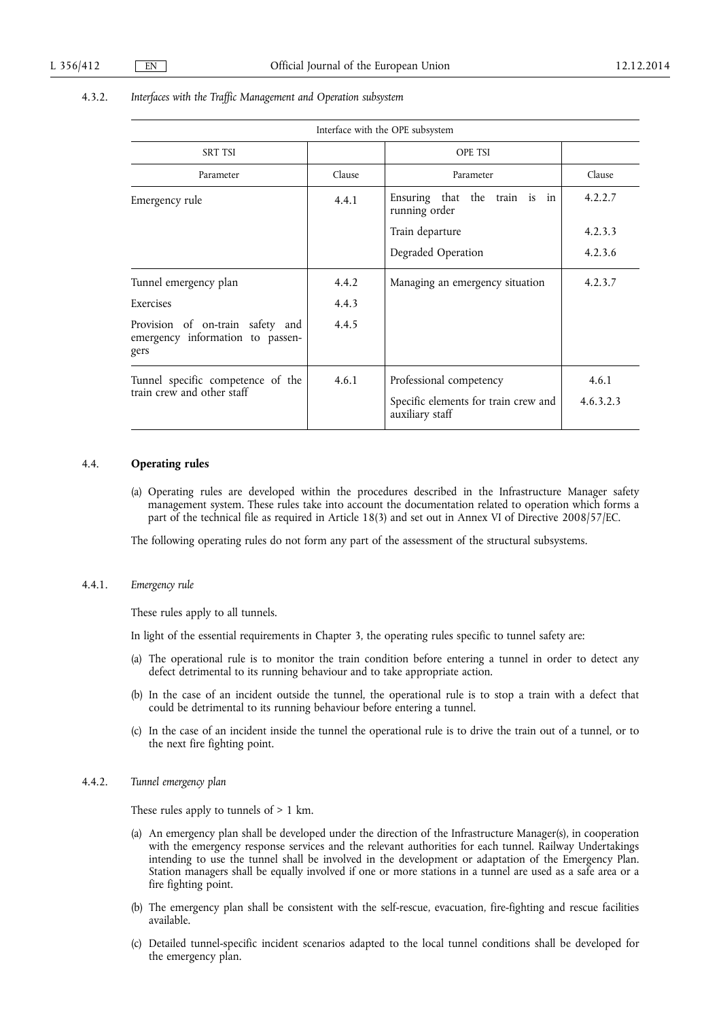# 4.3.2. *Interfaces with the Traffic Management and Operation subsystem*

|                                                                              |        | Interface with the OPE subsystem                                                   |                    |
|------------------------------------------------------------------------------|--------|------------------------------------------------------------------------------------|--------------------|
| <b>SRT TSI</b>                                                               |        | <b>OPE TSI</b>                                                                     |                    |
| Parameter                                                                    | Clause | Parameter                                                                          | Clause             |
| Emergency rule                                                               | 4.4.1  | Ensuring that the train is in<br>running order                                     | 4.2.2.7            |
|                                                                              |        | Train departure                                                                    | 4.2.3.3            |
|                                                                              |        | Degraded Operation                                                                 | 4.2.3.6            |
| Tunnel emergency plan                                                        | 4.4.2  | Managing an emergency situation                                                    | 4.2.3.7            |
| Exercises                                                                    | 4.4.3  |                                                                                    |                    |
| Provision of on-train safety and<br>emergency information to passen-<br>gers | 4.4.5  |                                                                                    |                    |
| Tunnel specific competence of the<br>train crew and other staff              | 4.6.1  | Professional competency<br>Specific elements for train crew and<br>auxiliary staff | 4.6.1<br>4.6.3.2.3 |

### 4.4. **Operating rules**

(a) Operating rules are developed within the procedures described in the Infrastructure Manager safety management system. These rules take into account the documentation related to operation which forms a part of the technical file as required in Article 18(3) and set out in Annex VI of Directive 2008/57/EC.

The following operating rules do not form any part of the assessment of the structural subsystems.

#### 4.4.1. *Emergency rule*

These rules apply to all tunnels.

In light of the essential requirements in Chapter 3, the operating rules specific to tunnel safety are:

- (a) The operational rule is to monitor the train condition before entering a tunnel in order to detect any defect detrimental to its running behaviour and to take appropriate action.
- (b) In the case of an incident outside the tunnel, the operational rule is to stop a train with a defect that could be detrimental to its running behaviour before entering a tunnel.
- (c) In the case of an incident inside the tunnel the operational rule is to drive the train out of a tunnel, or to the next fire fighting point.

### 4.4.2. *Tunnel emergency plan*

These rules apply to tunnels of  $> 1$  km.

- (a) An emergency plan shall be developed under the direction of the Infrastructure Manager(s), in cooperation with the emergency response services and the relevant authorities for each tunnel. Railway Undertakings intending to use the tunnel shall be involved in the development or adaptation of the Emergency Plan. Station managers shall be equally involved if one or more stations in a tunnel are used as a safe area or a fire fighting point.
- (b) The emergency plan shall be consistent with the self-rescue, evacuation, fire-fighting and rescue facilities available.
- (c) Detailed tunnel-specific incident scenarios adapted to the local tunnel conditions shall be developed for the emergency plan.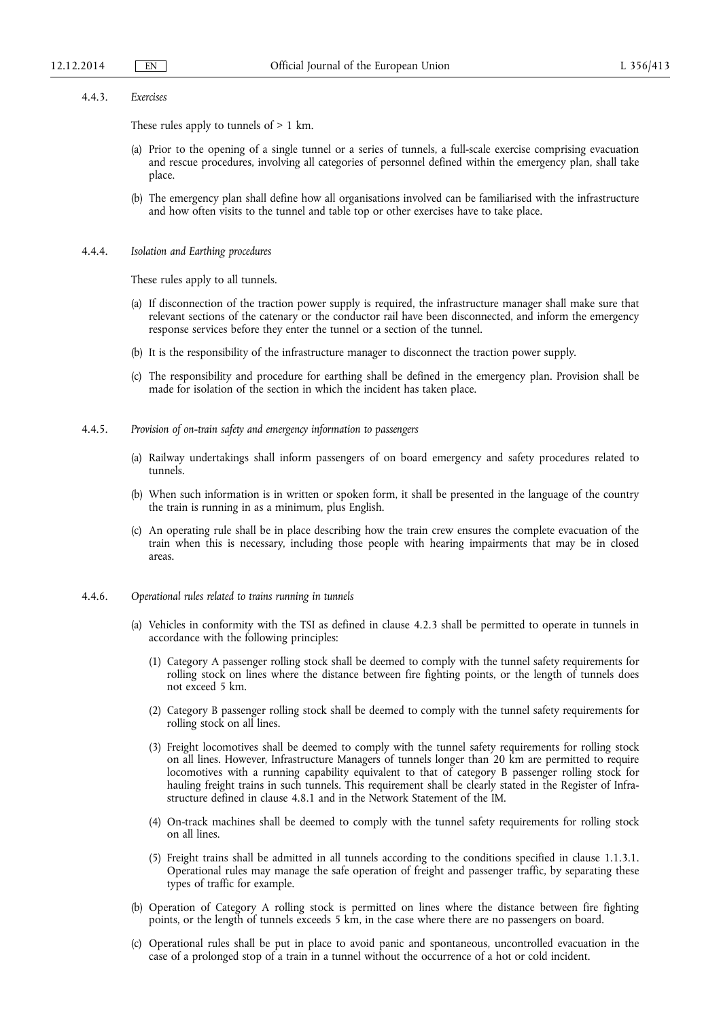#### 4.4.3. *Exercises*

These rules apply to tunnels of > 1 km.

- (a) Prior to the opening of a single tunnel or a series of tunnels, a full-scale exercise comprising evacuation and rescue procedures, involving all categories of personnel defined within the emergency plan, shall take place.
- (b) The emergency plan shall define how all organisations involved can be familiarised with the infrastructure and how often visits to the tunnel and table top or other exercises have to take place.
- 4.4.4. *Isolation and Earthing procedures*

These rules apply to all tunnels.

- (a) If disconnection of the traction power supply is required, the infrastructure manager shall make sure that relevant sections of the catenary or the conductor rail have been disconnected, and inform the emergency response services before they enter the tunnel or a section of the tunnel.
- (b) It is the responsibility of the infrastructure manager to disconnect the traction power supply.
- (c) The responsibility and procedure for earthing shall be defined in the emergency plan. Provision shall be made for isolation of the section in which the incident has taken place.
- 4.4.5. *Provision of on-train safety and emergency information to passengers* 
	- (a) Railway undertakings shall inform passengers of on board emergency and safety procedures related to tunnels.
	- (b) When such information is in written or spoken form, it shall be presented in the language of the country the train is running in as a minimum, plus English.
	- (c) An operating rule shall be in place describing how the train crew ensures the complete evacuation of the train when this is necessary, including those people with hearing impairments that may be in closed areas.
- 4.4.6. *Operational rules related to trains running in tunnels* 
	- (a) Vehicles in conformity with the TSI as defined in clause 4.2.3 shall be permitted to operate in tunnels in accordance with the following principles:
		- (1) Category A passenger rolling stock shall be deemed to comply with the tunnel safety requirements for rolling stock on lines where the distance between fire fighting points, or the length of tunnels does not exceed 5 km.
		- (2) Category B passenger rolling stock shall be deemed to comply with the tunnel safety requirements for rolling stock on all lines.
		- (3) Freight locomotives shall be deemed to comply with the tunnel safety requirements for rolling stock on all lines. However, Infrastructure Managers of tunnels longer than 20 km are permitted to require locomotives with a running capability equivalent to that of category B passenger rolling stock for hauling freight trains in such tunnels. This requirement shall be clearly stated in the Register of Infrastructure defined in clause 4.8.1 and in the Network Statement of the IM.
		- (4) On-track machines shall be deemed to comply with the tunnel safety requirements for rolling stock on all lines.
		- (5) Freight trains shall be admitted in all tunnels according to the conditions specified in clause 1.1.3.1. Operational rules may manage the safe operation of freight and passenger traffic, by separating these types of traffic for example.
	- (b) Operation of Category A rolling stock is permitted on lines where the distance between fire fighting points, or the length of tunnels exceeds 5 km, in the case where there are no passengers on board.
	- (c) Operational rules shall be put in place to avoid panic and spontaneous, uncontrolled evacuation in the case of a prolonged stop of a train in a tunnel without the occurrence of a hot or cold incident.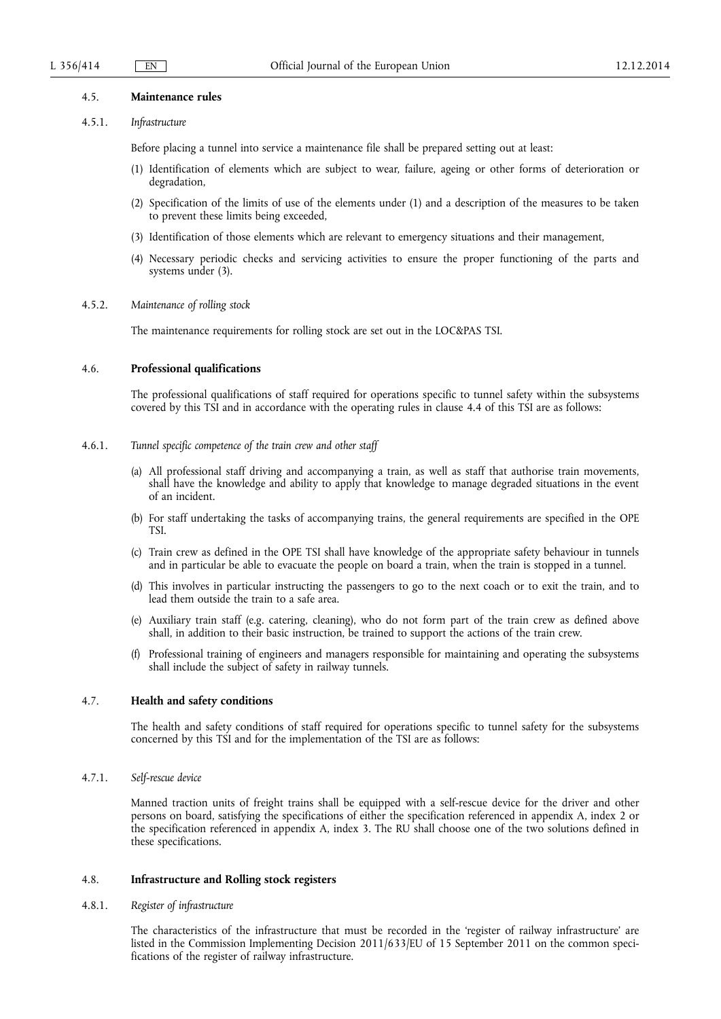#### 4.5. **Maintenance rules**

### 4.5.1. *Infrastructure*

Before placing a tunnel into service a maintenance file shall be prepared setting out at least:

- (1) Identification of elements which are subject to wear, failure, ageing or other forms of deterioration or degradation,
- (2) Specification of the limits of use of the elements under (1) and a description of the measures to be taken to prevent these limits being exceeded,
- (3) Identification of those elements which are relevant to emergency situations and their management,
- (4) Necessary periodic checks and servicing activities to ensure the proper functioning of the parts and systems under (3).

#### 4.5.2. *Maintenance of rolling stock*

The maintenance requirements for rolling stock are set out in the LOC&PAS TSI.

### 4.6. **Professional qualifications**

The professional qualifications of staff required for operations specific to tunnel safety within the subsystems covered by this TSI and in accordance with the operating rules in clause 4.4 of this TSI are as follows:

### 4.6.1. *Tunnel specific competence of the train crew and other staff*

- (a) All professional staff driving and accompanying a train, as well as staff that authorise train movements, shall have the knowledge and ability to apply that knowledge to manage degraded situations in the event of an incident.
- (b) For staff undertaking the tasks of accompanying trains, the general requirements are specified in the OPE TSI.
- (c) Train crew as defined in the OPE TSI shall have knowledge of the appropriate safety behaviour in tunnels and in particular be able to evacuate the people on board a train, when the train is stopped in a tunnel.
- (d) This involves in particular instructing the passengers to go to the next coach or to exit the train, and to lead them outside the train to a safe area.
- (e) Auxiliary train staff (e.g. catering, cleaning), who do not form part of the train crew as defined above shall, in addition to their basic instruction, be trained to support the actions of the train crew.
- (f) Professional training of engineers and managers responsible for maintaining and operating the subsystems shall include the subject of safety in railway tunnels.

### 4.7. **Health and safety conditions**

The health and safety conditions of staff required for operations specific to tunnel safety for the subsystems concerned by this TSI and for the implementation of the TSI are as follows:

### 4.7.1. *Self-rescue device*

Manned traction units of freight trains shall be equipped with a self-rescue device for the driver and other persons on board, satisfying the specifications of either the specification referenced in appendix A, index 2 or the specification referenced in appendix A, index 3. The RU shall choose one of the two solutions defined in these specifications.

### 4.8. **Infrastructure and Rolling stock registers**

### 4.8.1. *Register of infrastructure*

The characteristics of the infrastructure that must be recorded in the 'register of railway infrastructure' are listed in the Commission Implementing Decision 2011/633/EU of 15 September 2011 on the common specifications of the register of railway infrastructure.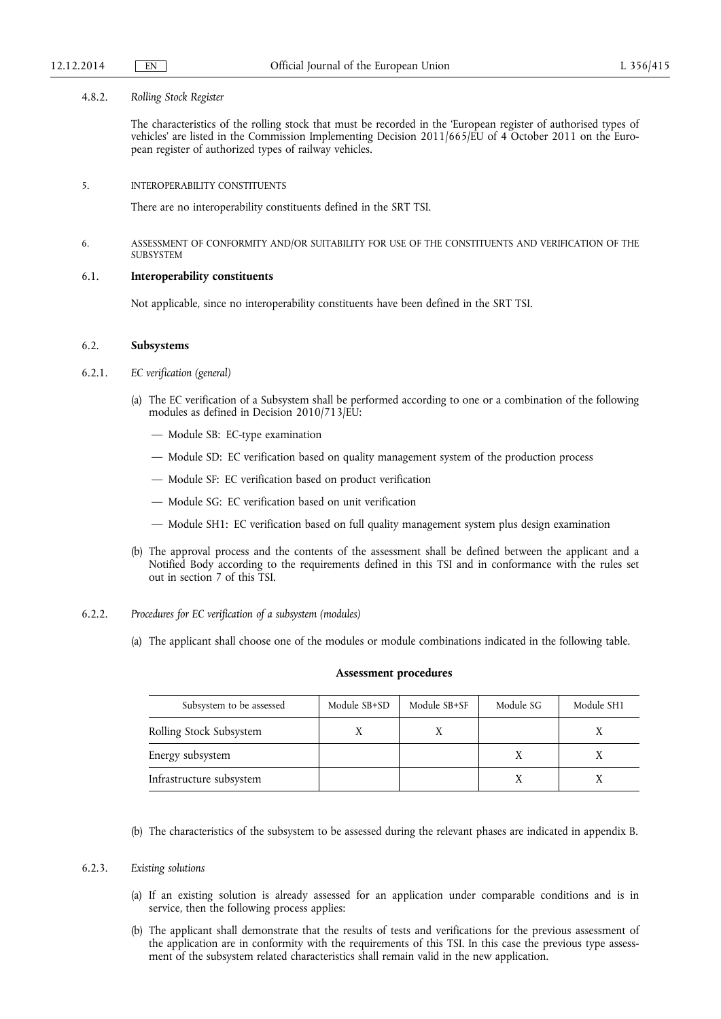### 4.8.2. *Rolling Stock Register*

The characteristics of the rolling stock that must be recorded in the 'European register of authorised types of vehicles' are listed in the Commission Implementing Decision 2011/665/EU of 4 October 2011 on the European register of authorized types of railway vehicles.

5. INTEROPERABILITY CONSTITUENTS

There are no interoperability constituents defined in the SRT TSI.

6. ASSESSMENT OF CONFORMITY AND/OR SUITABILITY FOR USE OF THE CONSTITUENTS AND VERIFICATION OF THE SUBSYSTEM

### 6.1. **Interoperability constituents**

Not applicable, since no interoperability constituents have been defined in the SRT TSI.

### 6.2. **Subsystems**

- 6.2.1. *EC verification (general)* 
	- (a) The EC verification of a Subsystem shall be performed according to one or a combination of the following modules as defined in Decision 2010/713/EU:
		- Module SB: EC-type examination
		- Module SD: EC verification based on quality management system of the production process
		- Module SF: EC verification based on product verification
		- Module SG: EC verification based on unit verification
		- Module SH1: EC verification based on full quality management system plus design examination
	- (b) The approval process and the contents of the assessment shall be defined between the applicant and a Notified Body according to the requirements defined in this TSI and in conformance with the rules set out in section 7 of this TSI.
- 6.2.2. *Procedures for EC verification of a subsystem (modules)* 
	- (a) The applicant shall choose one of the modules or module combinations indicated in the following table.

#### **Assessment procedures**

| Subsystem to be assessed | Module SB+SD | Module SB+SF | Module SG | Module SH1 |
|--------------------------|--------------|--------------|-----------|------------|
| Rolling Stock Subsystem  |              |              |           |            |
| Energy subsystem         |              |              |           |            |
| Infrastructure subsystem |              |              |           |            |

(b) The characteristics of the subsystem to be assessed during the relevant phases are indicated in appendix B.

### 6.2.3. *Existing solutions*

- (a) If an existing solution is already assessed for an application under comparable conditions and is in service, then the following process applies:
- (b) The applicant shall demonstrate that the results of tests and verifications for the previous assessment of the application are in conformity with the requirements of this TSI. In this case the previous type assessment of the subsystem related characteristics shall remain valid in the new application.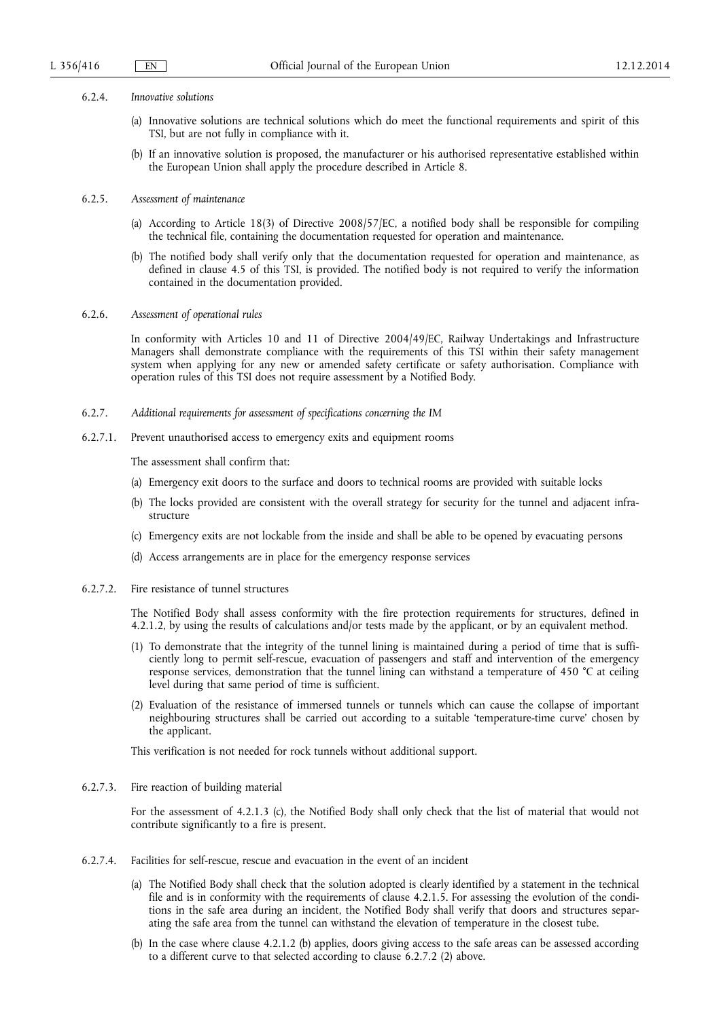#### 6.2.4. *Innovative solutions*

- (a) Innovative solutions are technical solutions which do meet the functional requirements and spirit of this TSI, but are not fully in compliance with it.
- (b) If an innovative solution is proposed, the manufacturer or his authorised representative established within the European Union shall apply the procedure described in Article 8.

### 6.2.5. *Assessment of maintenance*

- (a) According to Article 18(3) of Directive 2008/57/EC, a notified body shall be responsible for compiling the technical file, containing the documentation requested for operation and maintenance.
- (b) The notified body shall verify only that the documentation requested for operation and maintenance, as defined in clause 4.5 of this TSI, is provided. The notified body is not required to verify the information contained in the documentation provided.

#### 6.2.6. *Assessment of operational rules*

In conformity with Articles 10 and 11 of Directive 2004/49/EC, Railway Undertakings and Infrastructure Managers shall demonstrate compliance with the requirements of this TSI within their safety management system when applying for any new or amended safety certificate or safety authorisation. Compliance with operation rules of this TSI does not require assessment by a Notified Body.

- 6.2.7. *Additional requirements for assessment of specifications concerning the IM*
- 6.2.7.1. Prevent unauthorised access to emergency exits and equipment rooms

The assessment shall confirm that:

- (a) Emergency exit doors to the surface and doors to technical rooms are provided with suitable locks
- (b) The locks provided are consistent with the overall strategy for security for the tunnel and adjacent infrastructure
- (c) Emergency exits are not lockable from the inside and shall be able to be opened by evacuating persons
- (d) Access arrangements are in place for the emergency response services
- 6.2.7.2. Fire resistance of tunnel structures

The Notified Body shall assess conformity with the fire protection requirements for structures, defined in 4.2.1.2, by using the results of calculations and/or tests made by the applicant, or by an equivalent method.

- (1) To demonstrate that the integrity of the tunnel lining is maintained during a period of time that is sufficiently long to permit self-rescue, evacuation of passengers and staff and intervention of the emergency response services, demonstration that the tunnel lining can withstand a temperature of 450 °C at ceiling level during that same period of time is sufficient.
- (2) Evaluation of the resistance of immersed tunnels or tunnels which can cause the collapse of important neighbouring structures shall be carried out according to a suitable 'temperature-time curve' chosen by the applicant.

This verification is not needed for rock tunnels without additional support.

#### 6.2.7.3. Fire reaction of building material

For the assessment of 4.2.1.3 (c), the Notified Body shall only check that the list of material that would not contribute significantly to a fire is present.

- 6.2.7.4. Facilities for self-rescue, rescue and evacuation in the event of an incident
	- (a) The Notified Body shall check that the solution adopted is clearly identified by a statement in the technical file and is in conformity with the requirements of clause 4.2.1.5. For assessing the evolution of the conditions in the safe area during an incident, the Notified Body shall verify that doors and structures separating the safe area from the tunnel can withstand the elevation of temperature in the closest tube.
	- (b) In the case where clause 4.2.1.2 (b) applies, doors giving access to the safe areas can be assessed according to a different curve to that selected according to clause 6.2.7.2 (2) above.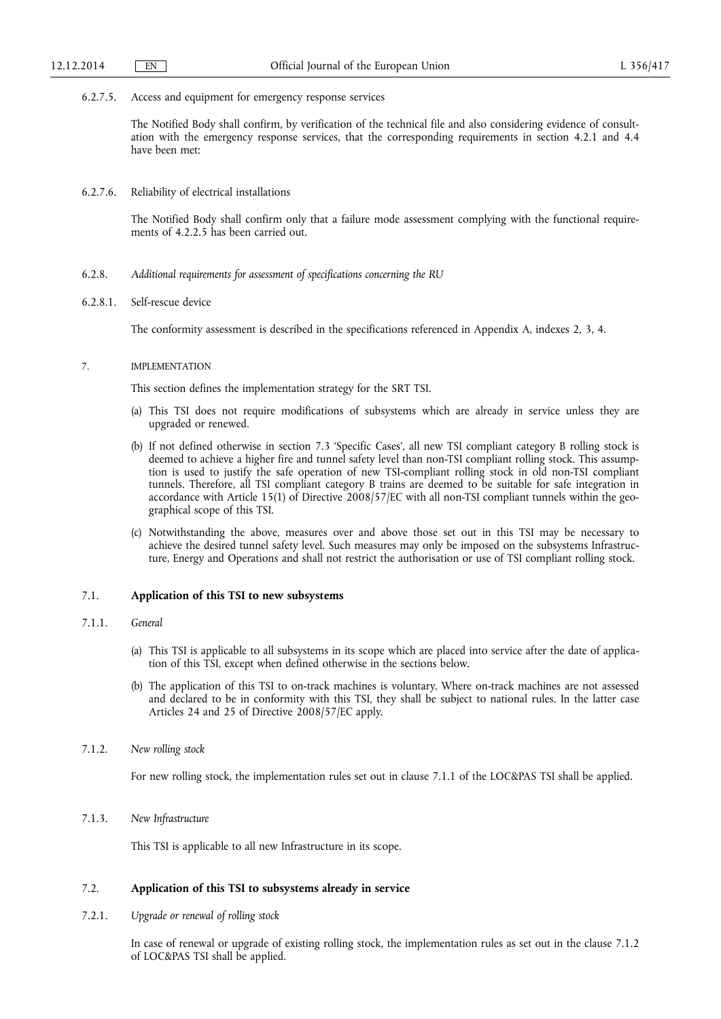#### 6.2.7.5. Access and equipment for emergency response services

The Notified Body shall confirm, by verification of the technical file and also considering evidence of consultation with the emergency response services, that the corresponding requirements in section 4.2.1 and 4.4 have been met:

6.2.7.6. Reliability of electrical installations

The Notified Body shall confirm only that a failure mode assessment complying with the functional requirements of 4.2.2.5 has been carried out.

- 6.2.8. *Additional requirements for assessment of specifications concerning the RU*
- 6.2.8.1. Self-rescue device

The conformity assessment is described in the specifications referenced in Appendix A, indexes 2, 3, 4.

#### 7. IMPLEMENTATION

This section defines the implementation strategy for the SRT TSI.

- (a) This TSI does not require modifications of subsystems which are already in service unless they are upgraded or renewed.
- (b) If not defined otherwise in section 7.3 'Specific Cases', all new TSI compliant category B rolling stock is deemed to achieve a higher fire and tunnel safety level than non-TSI compliant rolling stock. This assumption is used to justify the safe operation of new TSI-compliant rolling stock in old non-TSI compliant tunnels. Therefore, all TSI compliant category B trains are deemed to be suitable for safe integration in accordance with Article 15(1) of Directive 2008/57/EC with all non-TSI compliant tunnels within the geographical scope of this TSI.
- (c) Notwithstanding the above, measures over and above those set out in this TSI may be necessary to achieve the desired tunnel safety level. Such measures may only be imposed on the subsystems Infrastructure, Energy and Operations and shall not restrict the authorisation or use of TSI compliant rolling stock.

### 7.1. **Application of this TSI to new subsystems**

## 7.1.1. *General*

- (a) This TSI is applicable to all subsystems in its scope which are placed into service after the date of application of this TSI, except when defined otherwise in the sections below.
- (b) The application of this TSI to on-track machines is voluntary. Where on-track machines are not assessed and declared to be in conformity with this TSI, they shall be subject to national rules. In the latter case Articles 24 and 25 of Directive 2008/57/EC apply.

### 7.1.2. *New rolling stock*

For new rolling stock, the implementation rules set out in clause 7.1.1 of the LOC&PAS TSI shall be applied.

7.1.3. *New Infrastructure* 

This TSI is applicable to all new Infrastructure in its scope.

### 7.2. **Application of this TSI to subsystems already in service**

7.2.1. *Upgrade or renewal of rolling stock* 

In case of renewal or upgrade of existing rolling stock, the implementation rules as set out in the clause 7.1.2 of LOC&PAS TSI shall be applied.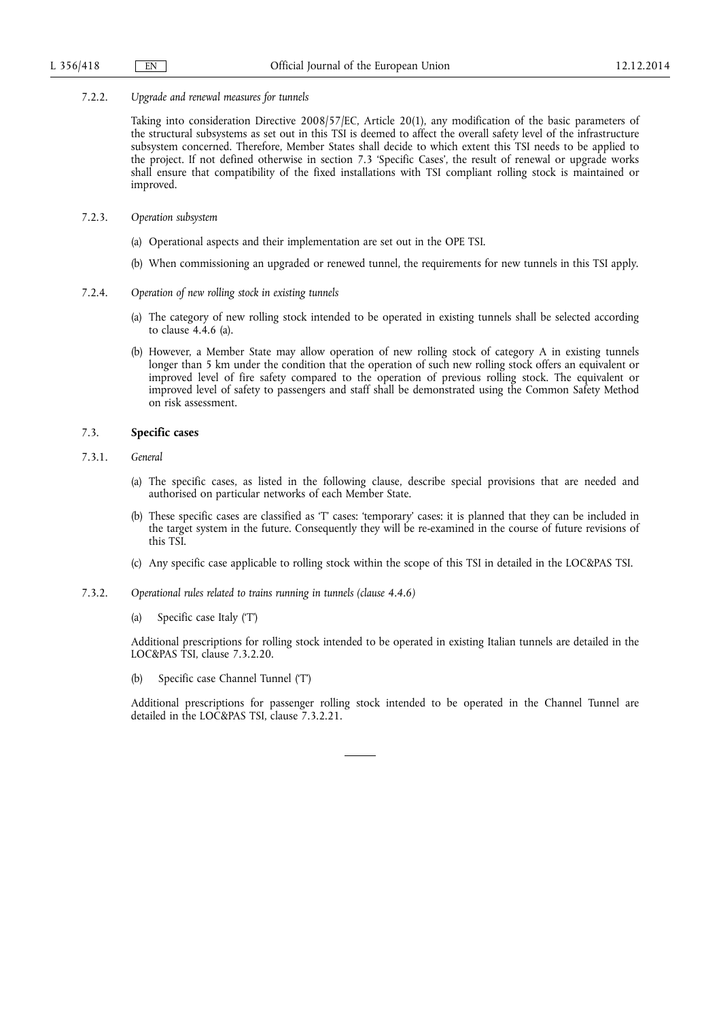#### 7.2.2. *Upgrade and renewal measures for tunnels*

Taking into consideration Directive 2008/57/EC, Article 20(1), any modification of the basic parameters of the structural subsystems as set out in this TSI is deemed to affect the overall safety level of the infrastructure subsystem concerned. Therefore, Member States shall decide to which extent this TSI needs to be applied to the project. If not defined otherwise in section 7.3 'Specific Cases', the result of renewal or upgrade works shall ensure that compatibility of the fixed installations with TSI compliant rolling stock is maintained or improved.

- 7.2.3. *Operation subsystem* 
	- (a) Operational aspects and their implementation are set out in the OPE TSI.
	- (b) When commissioning an upgraded or renewed tunnel, the requirements for new tunnels in this TSI apply.
- 7.2.4. *Operation of new rolling stock in existing tunnels* 
	- (a) The category of new rolling stock intended to be operated in existing tunnels shall be selected according to clause 4.4.6 (a).
	- (b) However, a Member State may allow operation of new rolling stock of category A in existing tunnels longer than 5 km under the condition that the operation of such new rolling stock offers an equivalent or improved level of fire safety compared to the operation of previous rolling stock. The equivalent or improved level of safety to passengers and staff shall be demonstrated using the Common Safety Method on risk assessment.

### 7.3. **Specific cases**

### 7.3.1. *General*

- (a) The specific cases, as listed in the following clause, describe special provisions that are needed and authorised on particular networks of each Member State.
- (b) These specific cases are classified as 'T' cases: 'temporary' cases: it is planned that they can be included in the target system in the future. Consequently they will be re-examined in the course of future revisions of this TSI.
- (c) Any specific case applicable to rolling stock within the scope of this TSI in detailed in the LOC&PAS TSI.
- 7.3.2. *Operational rules related to trains running in tunnels (clause 4.4.6)* 
	- (a) Specific case Italy ('T')

Additional prescriptions for rolling stock intended to be operated in existing Italian tunnels are detailed in the LOC&PAS TSI, clause 7.3.2.20.

(b) Specific case Channel Tunnel ('T')

Additional prescriptions for passenger rolling stock intended to be operated in the Channel Tunnel are detailed in the LOC&PAS TSI, clause 7.3.2.21.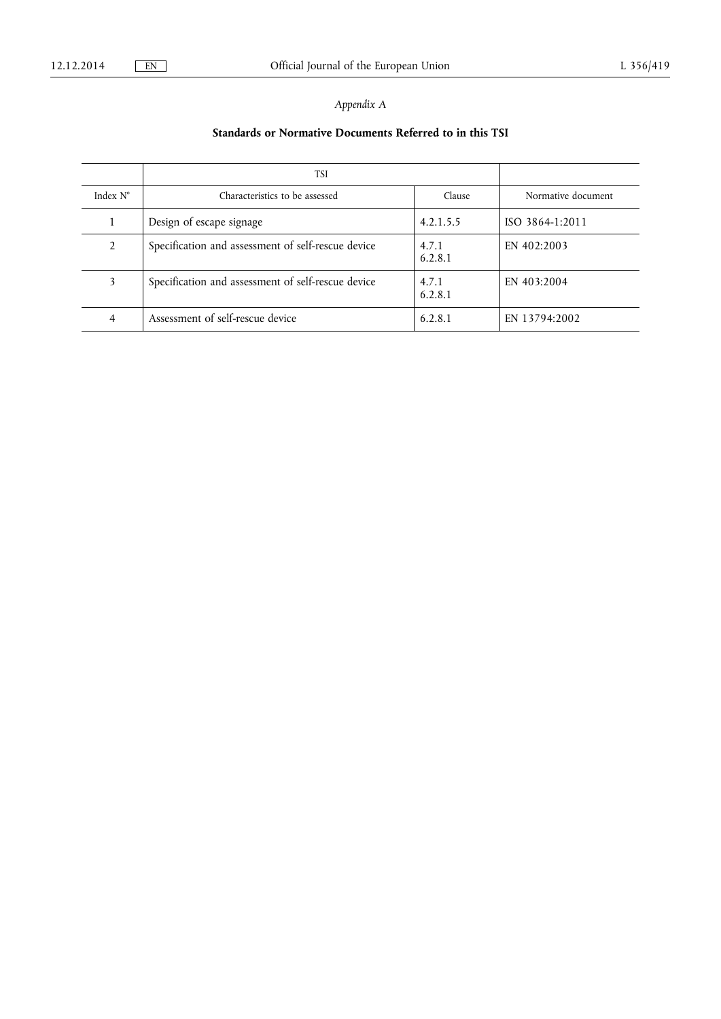# *Appendix A*

# **Standards or Normative Documents Referred to in this TSI**

|                   | TSI                                                |                  |                    |
|-------------------|----------------------------------------------------|------------------|--------------------|
| Index $N^{\circ}$ | Characteristics to be assessed                     | Clause           | Normative document |
|                   | Design of escape signage                           | 4.2.1.5.5        | ISO 3864-1:2011    |
| $\mathfrak{D}$    | Specification and assessment of self-rescue device | 4.7.1<br>6.2.8.1 | EN 402:2003        |
| 3                 | Specification and assessment of self-rescue device | 4.7.1<br>6.2.8.1 | EN 403:2004        |
|                   | Assessment of self-rescue device                   | 6.2.8.1          | EN 13794:2002      |